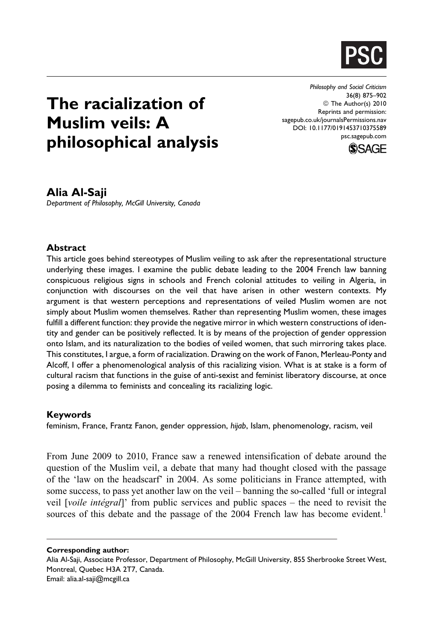

# The racialization of Muslim veils: A philosophical analysis

Philosophy and Social Criticism 36(8) 875–902 © The Author(s) 2010 Reprints and permission: sagepub.co.uk/journalsPermissions.nav DOI: 10.1177/0191453710375589 psc.sagepub.com



## Alia Al-Saji

Department of Philosophy, McGill University, Canada

#### **Abstract**

This article goes behind stereotypes of Muslim veiling to ask after the representational structure underlying these images. I examine the public debate leading to the 2004 French law banning conspicuous religious signs in schools and French colonial attitudes to veiling in Algeria, in conjunction with discourses on the veil that have arisen in other western contexts. My argument is that western perceptions and representations of veiled Muslim women are not simply about Muslim women themselves. Rather than representing Muslim women, these images fulfill a different function: they provide the negative mirror in which western constructions of identity and gender can be positively reflected. It is by means of the projection of gender oppression onto Islam, and its naturalization to the bodies of veiled women, that such mirroring takes place. This constitutes, I argue, a form of racialization. Drawing on the work of Fanon, Merleau-Ponty and Alcoff, I offer a phenomenological analysis of this racializing vision. What is at stake is a form of cultural racism that functions in the guise of anti-sexist and feminist liberatory discourse, at once posing a dilemma to feminists and concealing its racializing logic.

#### Keywords

feminism, France, Frantz Fanon, gender oppression, hijab, Islam, phenomenology, racism, veil

From June 2009 to 2010, France saw a renewed intensification of debate around the question of the Muslim veil, a debate that many had thought closed with the passage of the 'law on the headscarf' in 2004. As some politicians in France attempted, with some success, to pass yet another law on the veil – banning the so-called 'full or integral veil  $[void int'égrad]'$  from public services and public spaces – the need to revisit the sources of this debate and the passage of the 2004 French law has become evident.<sup>1</sup>

Corresponding author:

Alia Al-Saji, Associate Professor, Department of Philosophy, McGill University, 855 Sherbrooke Street West, Montreal, Quebec H3A 2T7, Canada. Email: alia.al-saji@mcgill.ca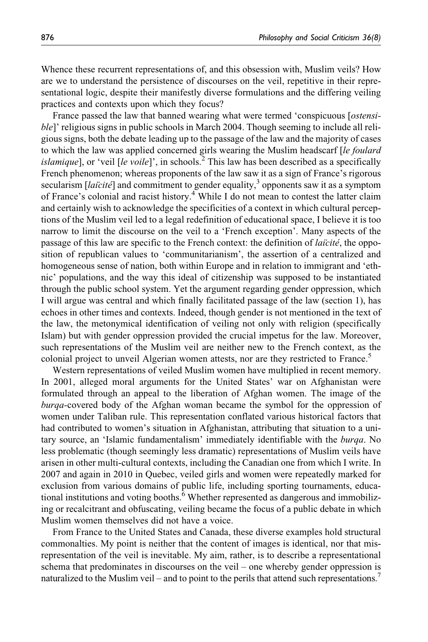Whence these recurrent representations of, and this obsession with, Muslim veils? How are we to understand the persistence of discourses on the veil, repetitive in their representational logic, despite their manifestly diverse formulations and the differing veiling practices and contexts upon which they focus?

France passed the law that banned wearing what were termed 'conspicuous [*ostensi*ble]' religious signs in public schools in March 2004. Though seeming to include all religious signs, both the debate leading up to the passage of the law and the majority of cases to which the law was applied concerned girls wearing the Muslim headscarf [le foulard *islamique*], or 'veil [*le voile*]', in schools.<sup>2</sup> This law has been described as a specifically French phenomenon; whereas proponents of the law saw it as a sign of France's rigorous secularism [*laicité*] and commitment to gender equality,<sup>3</sup> opponents saw it as a symptom of France's colonial and racist history.<sup>4</sup> While I do not mean to contest the latter claim and certainly wish to acknowledge the specificities of a context in which cultural perceptions of the Muslim veil led to a legal redefinition of educational space, I believe it is too narrow to limit the discourse on the veil to a 'French exception'. Many aspects of the passage of this law are specific to the French context: the definition of *laicité*, the opposition of republican values to 'communitarianism', the assertion of a centralized and homogeneous sense of nation, both within Europe and in relation to immigrant and 'ethnic' populations, and the way this ideal of citizenship was supposed to be instantiated through the public school system. Yet the argument regarding gender oppression, which I will argue was central and which finally facilitated passage of the law (section 1), has echoes in other times and contexts. Indeed, though gender is not mentioned in the text of the law, the metonymical identification of veiling not only with religion (specifically Islam) but with gender oppression provided the crucial impetus for the law. Moreover, such representations of the Muslim veil are neither new to the French context, as the colonial project to unveil Algerian women attests, nor are they restricted to France.<sup>5</sup>

Western representations of veiled Muslim women have multiplied in recent memory. In 2001, alleged moral arguments for the United States' war on Afghanistan were formulated through an appeal to the liberation of Afghan women. The image of the burqa-covered body of the Afghan woman became the symbol for the oppression of women under Taliban rule. This representation conflated various historical factors that had contributed to women's situation in Afghanistan, attributing that situation to a unitary source, an 'Islamic fundamentalism' immediately identifiable with the burqa. No less problematic (though seemingly less dramatic) representations of Muslim veils have arisen in other multi-cultural contexts, including the Canadian one from which I write. In 2007 and again in 2010 in Quebec, veiled girls and women were repeatedly marked for exclusion from various domains of public life, including sporting tournaments, educational institutions and voting booths.<sup>6</sup> Whether represented as dangerous and immobilizing or recalcitrant and obfuscating, veiling became the focus of a public debate in which Muslim women themselves did not have a voice.

From France to the United States and Canada, these diverse examples hold structural commonalties. My point is neither that the content of images is identical, nor that misrepresentation of the veil is inevitable. My aim, rather, is to describe a representational schema that predominates in discourses on the veil – one whereby gender oppression is naturalized to the Muslim veil – and to point to the perils that attend such representations.<sup>7</sup>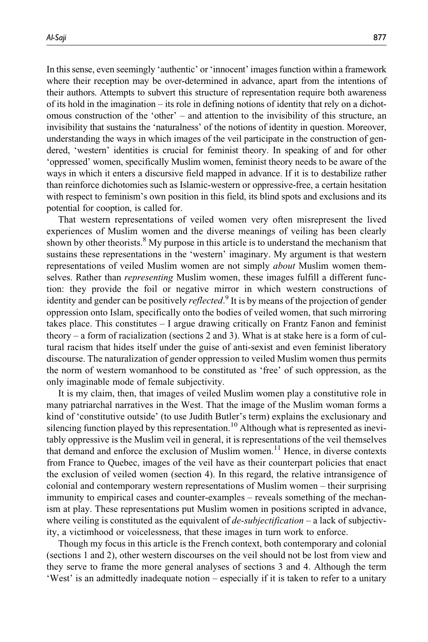In this sense, even seemingly 'authentic' or 'innocent' images function within a framework where their reception may be over-determined in advance, apart from the intentions of their authors. Attempts to subvert this structure of representation require both awareness of its hold in the imagination – its role in defining notions of identity that rely on a dichotomous construction of the 'other' – and attention to the invisibility of this structure, an invisibility that sustains the 'naturalness' of the notions of identity in question. Moreover, understanding the ways in which images of the veil participate in the construction of gendered, 'western' identities is crucial for feminist theory. In speaking of and for other 'oppressed' women, specifically Muslim women, feminist theory needs to be aware of the ways in which it enters a discursive field mapped in advance. If it is to destabilize rather than reinforce dichotomies such as Islamic-western or oppressive-free, a certain hesitation with respect to feminism's own position in this field, its blind spots and exclusions and its potential for cooption, is called for.

That western representations of veiled women very often misrepresent the lived experiences of Muslim women and the diverse meanings of veiling has been clearly shown by other theorists.<sup>8</sup> My purpose in this article is to understand the mechanism that sustains these representations in the 'western' imaginary. My argument is that western representations of veiled Muslim women are not simply *about* Muslim women themselves. Rather than *representing* Muslim women, these images fulfill a different function: they provide the foil or negative mirror in which western constructions of identity and gender can be positively *reflected*.<sup>9</sup> It is by means of the projection of gender oppression onto Islam, specifically onto the bodies of veiled women, that such mirroring takes place. This constitutes – I argue drawing critically on Frantz Fanon and feminist theory – a form of racialization (sections 2 and 3). What is at stake here is a form of cultural racism that hides itself under the guise of anti-sexist and even feminist liberatory discourse. The naturalization of gender oppression to veiled Muslim women thus permits the norm of western womanhood to be constituted as 'free' of such oppression, as the only imaginable mode of female subjectivity.

It is my claim, then, that images of veiled Muslim women play a constitutive role in many patriarchal narratives in the West. That the image of the Muslim woman forms a kind of 'constitutive outside' (to use Judith Butler's term) explains the exclusionary and silencing function played by this representation.<sup>10</sup> Although what is represented as inevitably oppressive is the Muslim veil in general, it is representations of the veil themselves that demand and enforce the exclusion of Muslim women.<sup>11</sup> Hence, in diverse contexts from France to Quebec, images of the veil have as their counterpart policies that enact the exclusion of veiled women (section 4). In this regard, the relative intransigence of colonial and contemporary western representations of Muslim women – their surprising immunity to empirical cases and counter-examples – reveals something of the mechanism at play. These representations put Muslim women in positions scripted in advance, where veiling is constituted as the equivalent of *de-subjectification* – a lack of subjectivity, a victimhood or voicelessness, that these images in turn work to enforce.

Though my focus in this article is the French context, both contemporary and colonial (sections 1 and 2), other western discourses on the veil should not be lost from view and they serve to frame the more general analyses of sections 3 and 4. Although the term 'West' is an admittedly inadequate notion – especially if it is taken to refer to a unitary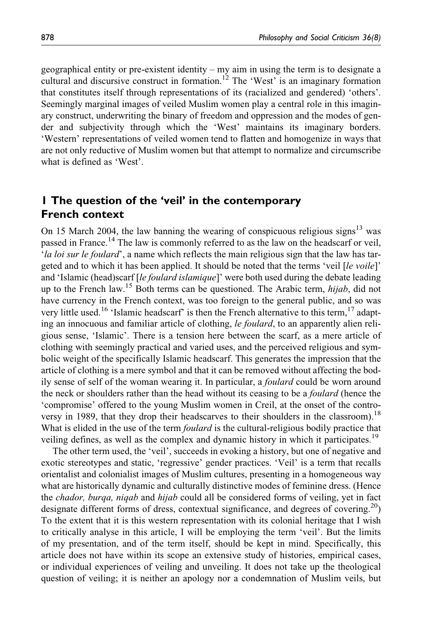geographical entity or pre-existent identity – my aim in using the term is to designate a cultural and discursive construct in formation.12 The 'West' is an imaginary formation that constitutes itself through representations of its (racialized and gendered) 'others'. Seemingly marginal images of veiled Muslim women play a central role in this imaginary construct, underwriting the binary of freedom and oppression and the modes of gender and subjectivity through which the 'West' maintains its imaginary borders. 'Western' representations of veiled women tend to flatten and homogenize in ways that are not only reductive of Muslim women but that attempt to normalize and circumscribe what is defined as 'West'.

# 1 The question of the 'veil' in the contemporary French context

On 15 March 2004, the law banning the wearing of conspicuous religious signs<sup>13</sup> was passed in France.<sup>14</sup> The law is commonly referred to as the law on the headscarf or veil, 'la loi sur le foulard', a name which reflects the main religious sign that the law has targeted and to which it has been applied. It should be noted that the terms 'veil [le voile]' and 'Islamic (head)scarf [le foulard islamique]' were both used during the debate leading up to the French law.<sup>15</sup> Both terms can be questioned. The Arabic term, *hijab*, did not have currency in the French context, was too foreign to the general public, and so was very little used.<sup>16</sup> 'Islamic headscarf' is then the French alternative to this term, <sup>17</sup> adapting an innocuous and familiar article of clothing, le foulard, to an apparently alien religious sense, 'Islamic'. There is a tension here between the scarf, as a mere article of clothing with seemingly practical and varied uses, and the perceived religious and symbolic weight of the specifically Islamic headscarf. This generates the impression that the article of clothing is a mere symbol and that it can be removed without affecting the bodily sense of self of the woman wearing it. In particular, a *foulard* could be worn around the neck or shoulders rather than the head without its ceasing to be a *foulard* (hence the 'compromise' offered to the young Muslim women in Creil, at the onset of the controversy in 1989, that they drop their headscarves to their shoulders in the classroom).<sup>18</sup> What is elided in the use of the term *foulard* is the cultural-religious bodily practice that veiling defines, as well as the complex and dynamic history in which it participates.<sup>19</sup>

The other term used, the 'veil', succeeds in evoking a history, but one of negative and exotic stereotypes and static, 'regressive' gender practices. 'Veil' is a term that recalls orientalist and colonialist images of Muslim cultures, presenting in a homogeneous way what are historically dynamic and culturally distinctive modes of feminine dress. (Hence the *chador, burqa, niqab* and *hijab* could all be considered forms of veiling, yet in fact designate different forms of dress, contextual significance, and degrees of covering.<sup>20</sup>) To the extent that it is this western representation with its colonial heritage that I wish to critically analyse in this article, I will be employing the term 'veil'. But the limits of my presentation, and of the term itself, should be kept in mind. Specifically, this article does not have within its scope an extensive study of histories, empirical cases, or individual experiences of veiling and unveiling. It does not take up the theological question of veiling; it is neither an apology nor a condemnation of Muslim veils, but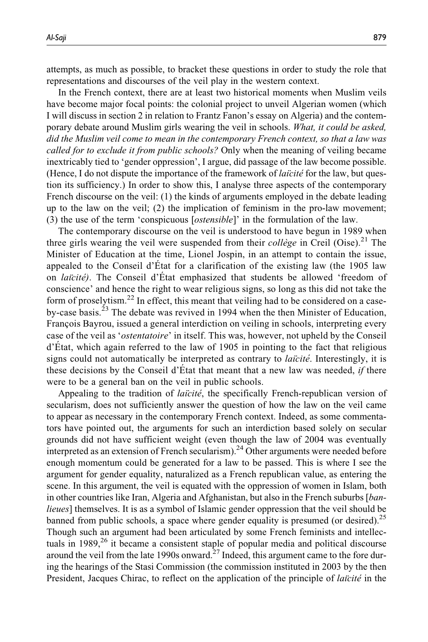attempts, as much as possible, to bracket these questions in order to study the role that representations and discourses of the veil play in the western context.

In the French context, there are at least two historical moments when Muslim veils have become major focal points: the colonial project to unveil Algerian women (which I will discuss in section 2 in relation to Frantz Fanon's essay on Algeria) and the contemporary debate around Muslim girls wearing the veil in schools. What, it could be asked, did the Muslim veil come to mean in the contemporary French context, so that a law was called for to exclude it from public schools? Only when the meaning of veiling became inextricably tied to 'gender oppression', I argue, did passage of the law become possible. (Hence, I do not dispute the importance of the framework of *laicité* for the law, but question its sufficiency.) In order to show this, I analyse three aspects of the contemporary French discourse on the veil: (1) the kinds of arguments employed in the debate leading up to the law on the veil; (2) the implication of feminism in the pro-law movement; (3) the use of the term 'conspicuous [ostensible]' in the formulation of the law.

The contemporary discourse on the veil is understood to have begun in 1989 when three girls wearing the veil were suspended from their *collège* in Creil (Oise).<sup>21</sup> The Minister of Education at the time, Lionel Jospin, in an attempt to contain the issue, appealed to the Conseil d'Etat for a clarification of the existing law (the 1905 law on *laicité*). The Conseil d'Etat emphasized that students be allowed 'freedom of conscience' and hence the right to wear religious signs, so long as this did not take the form of proselytism.<sup>22</sup> In effect, this meant that veiling had to be considered on a caseby-case basis.<sup>23</sup> The debate was revived in 1994 when the then Minister of Education, François Bayrou, issued a general interdiction on veiling in schools, interpreting every case of the veil as 'ostentatoire' in itself. This was, however, not upheld by the Conseil d'E´tat, which again referred to the law of 1905 in pointing to the fact that religious signs could not automatically be interpreted as contrary to *laicité*. Interestingly, it is these decisions by the Conseil d'Etat that meant that a new law was needed, *if* there were to be a general ban on the veil in public schools.

Appealing to the tradition of *laicité*, the specifically French-republican version of secularism, does not sufficiently answer the question of how the law on the veil came to appear as necessary in the contemporary French context. Indeed, as some commentators have pointed out, the arguments for such an interdiction based solely on secular grounds did not have sufficient weight (even though the law of 2004 was eventually interpreted as an extension of French secularism).<sup>24</sup> Other arguments were needed before enough momentum could be generated for a law to be passed. This is where I see the argument for gender equality, naturalized as a French republican value, as entering the scene. In this argument, the veil is equated with the oppression of women in Islam, both in other countries like Iran, Algeria and Afghanistan, but also in the French suburbs [banlieues] themselves. It is as a symbol of Islamic gender oppression that the veil should be banned from public schools, a space where gender equality is presumed (or desired).<sup>25</sup> Though such an argument had been articulated by some French feminists and intellectuals in  $1989<sub>1</sub><sup>26</sup>$  it became a consistent staple of popular media and political discourse around the veil from the late 1990s onward.<sup>27</sup> Indeed, this argument came to the fore during the hearings of the Stasi Commission (the commission instituted in 2003 by the then President, Jacques Chirac, to reflect on the application of the principle of *laicité* in the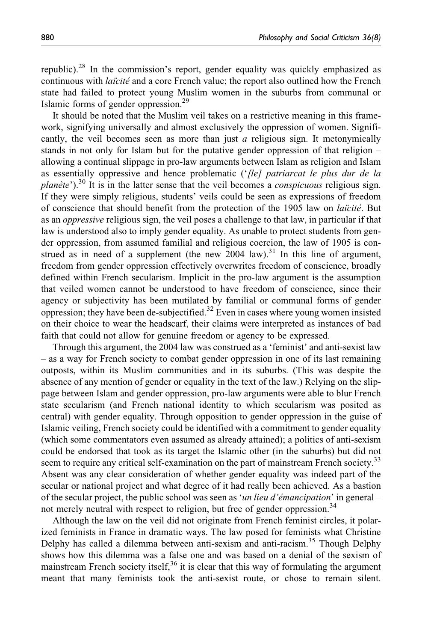republic).<sup>28</sup> In the commission's report, gender equality was quickly emphasized as continuous with *laicité* and a core French value; the report also outlined how the French state had failed to protect young Muslim women in the suburbs from communal or Islamic forms of gender oppression.<sup>29</sup>

It should be noted that the Muslim veil takes on a restrictive meaning in this framework, signifying universally and almost exclusively the oppression of women. Significantly, the veil becomes seen as more than just  $\alpha$  religious sign. It metonymically stands in not only for Islam but for the putative gender oppression of that religion – allowing a continual slippage in pro-law arguments between Islam as religion and Islam as essentially oppressive and hence problematic  $(|\ell|)$  patriarcat le plus dur de la  $plane$  ').<sup>30</sup> It is in the latter sense that the veil becomes a *conspicuous* religious sign. If they were simply religious, students' veils could be seen as expressions of freedom of conscience that should benefit from the protection of the 1905 law on *laicité*. But as an *oppressive* religious sign, the veil poses a challenge to that law, in particular if that law is understood also to imply gender equality. As unable to protect students from gender oppression, from assumed familial and religious coercion, the law of 1905 is construed as in need of a supplement (the new 2004 law).<sup>31</sup> In this line of argument, freedom from gender oppression effectively overwrites freedom of conscience, broadly defined within French secularism. Implicit in the pro-law argument is the assumption that veiled women cannot be understood to have freedom of conscience, since their agency or subjectivity has been mutilated by familial or communal forms of gender oppression; they have been de-subjectified.<sup>32</sup> Even in cases where young women insisted on their choice to wear the headscarf, their claims were interpreted as instances of bad faith that could not allow for genuine freedom or agency to be expressed.

Through this argument, the 2004 law was construed as a 'feminist' and anti-sexist law – as a way for French society to combat gender oppression in one of its last remaining outposts, within its Muslim communities and in its suburbs. (This was despite the absence of any mention of gender or equality in the text of the law.) Relying on the slippage between Islam and gender oppression, pro-law arguments were able to blur French state secularism (and French national identity to which secularism was posited as central) with gender equality. Through opposition to gender oppression in the guise of Islamic veiling, French society could be identified with a commitment to gender equality (which some commentators even assumed as already attained); a politics of anti-sexism could be endorsed that took as its target the Islamic other (in the suburbs) but did not seem to require any critical self-examination on the part of mainstream French society.<sup>33</sup> Absent was any clear consideration of whether gender equality was indeed part of the secular or national project and what degree of it had really been achieved. As a bastion of the secular project, the public school was seen as 'un lieu d'émancipation' in general – not merely neutral with respect to religion, but free of gender oppression.<sup>34</sup>

Although the law on the veil did not originate from French feminist circles, it polarized feminists in France in dramatic ways. The law posed for feminists what Christine Delphy has called a dilemma between anti-sexism and anti-racism.<sup>35</sup> Though Delphy shows how this dilemma was a false one and was based on a denial of the sexism of mainstream French society itself,<sup>36</sup> it is clear that this way of formulating the argument meant that many feminists took the anti-sexist route, or chose to remain silent.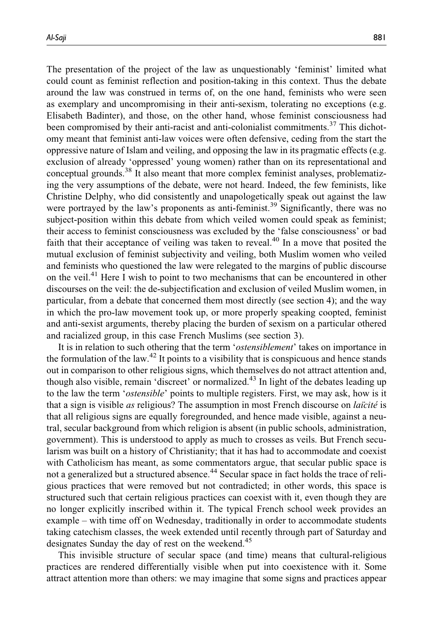The presentation of the project of the law as unquestionably 'feminist' limited what could count as feminist reflection and position-taking in this context. Thus the debate around the law was construed in terms of, on the one hand, feminists who were seen as exemplary and uncompromising in their anti-sexism, tolerating no exceptions (e.g. Elisabeth Badinter), and those, on the other hand, whose feminist consciousness had been compromised by their anti-racist and anti-colonialist commitments.<sup>37</sup> This dichotomy meant that feminist anti-law voices were often defensive, ceding from the start the oppressive nature of Islam and veiling, and opposing the law in its pragmatic effects (e.g. exclusion of already 'oppressed' young women) rather than on its representational and conceptual grounds.<sup>38</sup> It also meant that more complex feminist analyses, problematizing the very assumptions of the debate, were not heard. Indeed, the few feminists, like Christine Delphy, who did consistently and unapologetically speak out against the law were portrayed by the law's proponents as anti-feminist.<sup>39</sup> Significantly, there was no subject-position within this debate from which veiled women could speak as feminist; their access to feminist consciousness was excluded by the 'false consciousness' or bad faith that their acceptance of veiling was taken to reveal.<sup>40</sup> In a move that posited the mutual exclusion of feminist subjectivity and veiling, both Muslim women who veiled and feminists who questioned the law were relegated to the margins of public discourse on the veil.<sup>41</sup> Here I wish to point to two mechanisms that can be encountered in other discourses on the veil: the de-subjectification and exclusion of veiled Muslim women, in particular, from a debate that concerned them most directly (see section 4); and the way in which the pro-law movement took up, or more properly speaking coopted, feminist and anti-sexist arguments, thereby placing the burden of sexism on a particular othered and racialized group, in this case French Muslims (see section 3).

It is in relation to such othering that the term '*ostensiblement*' takes on importance in the formulation of the law. $42$  It points to a visibility that is conspicuous and hence stands out in comparison to other religious signs, which themselves do not attract attention and, though also visible, remain 'discreet' or normalized.<sup>43</sup> In light of the debates leading up to the law the term '*ostensible*' points to multiple registers. First, we may ask, how is it that a sign is visible as religious? The assumption in most French discourse on *laicité* is that all religious signs are equally foregrounded, and hence made visible, against a neutral, secular background from which religion is absent (in public schools, administration, government). This is understood to apply as much to crosses as veils. But French secularism was built on a history of Christianity; that it has had to accommodate and coexist with Catholicism has meant, as some commentators argue, that secular public space is not a generalized but a structured absence.<sup>44</sup> Secular space in fact holds the trace of religious practices that were removed but not contradicted; in other words, this space is structured such that certain religious practices can coexist with it, even though they are no longer explicitly inscribed within it. The typical French school week provides an example – with time off on Wednesday, traditionally in order to accommodate students taking catechism classes, the week extended until recently through part of Saturday and designates Sunday the day of rest on the weekend.<sup>45</sup>

This invisible structure of secular space (and time) means that cultural-religious practices are rendered differentially visible when put into coexistence with it. Some attract attention more than others: we may imagine that some signs and practices appear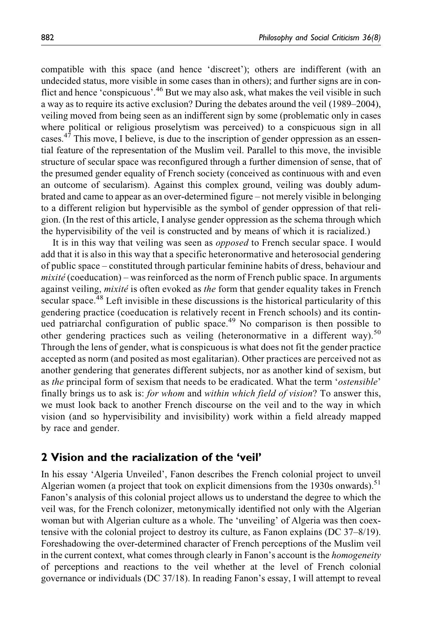compatible with this space (and hence 'discreet'); others are indifferent (with an undecided status, more visible in some cases than in others); and further signs are in conflict and hence 'conspicuous'.<sup>46</sup> But we may also ask, what makes the veil visible in such a way as to require its active exclusion? During the debates around the veil (1989–2004), veiling moved from being seen as an indifferent sign by some (problematic only in cases where political or religious proselytism was perceived) to a conspicuous sign in all cases. $47$  This move, I believe, is due to the inscription of gender oppression as an essential feature of the representation of the Muslim veil. Parallel to this move, the invisible structure of secular space was reconfigured through a further dimension of sense, that of the presumed gender equality of French society (conceived as continuous with and even an outcome of secularism). Against this complex ground, veiling was doubly adumbrated and came to appear as an over-determined figure – not merely visible in belonging to a different religion but hypervisible as the symbol of gender oppression of that religion. (In the rest of this article, I analyse gender oppression as the schema through which the hypervisibility of the veil is constructed and by means of which it is racialized.)

It is in this way that veiling was seen as *opposed* to French secular space. I would add that it is also in this way that a specific heteronormative and heterosocial gendering of public space – constituted through particular feminine habits of dress, behaviour and  $mixité$  (coeducation) – was reinforced as the norm of French public space. In arguments against veiling, *mixité* is often evoked as *the* form that gender equality takes in French secular space.<sup>48</sup> Left invisible in these discussions is the historical particularity of this gendering practice (coeducation is relatively recent in French schools) and its continued patriarchal configuration of public space.<sup>49</sup> No comparison is then possible to other gendering practices such as veiling (heteronormative in a different way).<sup>50</sup> Through the lens of gender, what is conspicuous is what does not fit the gender practice accepted as norm (and posited as most egalitarian). Other practices are perceived not as another gendering that generates different subjects, nor as another kind of sexism, but as the principal form of sexism that needs to be eradicated. What the term '*ostensible*' finally brings us to ask is: *for whom* and *within which field of vision*? To answer this, we must look back to another French discourse on the veil and to the way in which vision (and so hypervisibility and invisibility) work within a field already mapped by race and gender.

## 2 Vision and the racialization of the 'veil'

In his essay 'Algeria Unveiled', Fanon describes the French colonial project to unveil Algerian women (a project that took on explicit dimensions from the 1930s onwards).<sup>51</sup> Fanon's analysis of this colonial project allows us to understand the degree to which the veil was, for the French colonizer, metonymically identified not only with the Algerian woman but with Algerian culture as a whole. The 'unveiling' of Algeria was then coextensive with the colonial project to destroy its culture, as Fanon explains (DC 37–8/19). Foreshadowing the over-determined character of French perceptions of the Muslim veil in the current context, what comes through clearly in Fanon's account is the *homogeneity* of perceptions and reactions to the veil whether at the level of French colonial governance or individuals (DC 37/18). In reading Fanon's essay, I will attempt to reveal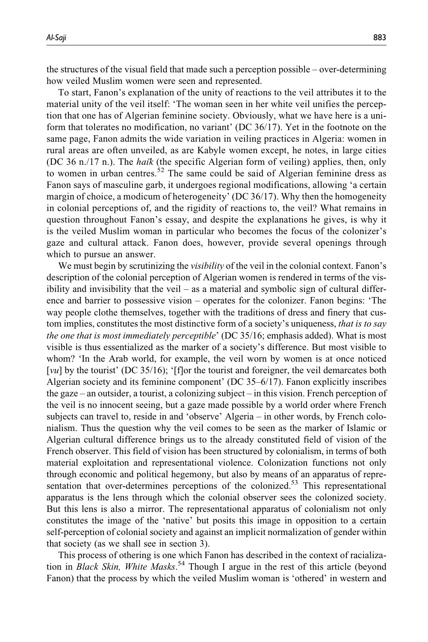the structures of the visual field that made such a perception possible – over-determining how veiled Muslim women were seen and represented.

To start, Fanon's explanation of the unity of reactions to the veil attributes it to the material unity of the veil itself: 'The woman seen in her white veil unifies the perception that one has of Algerian feminine society. Obviously, what we have here is a uniform that tolerates no modification, no variant' (DC 36/17). Yet in the footnote on the same page, Fanon admits the wide variation in veiling practices in Algeria: women in rural areas are often unveiled, as are Kabyle women except, he notes, in large cities (DC 36 n./17 n.). The *haik* (the specific Algerian form of veiling) applies, then, only to women in urban centres.<sup>52</sup> The same could be said of Algerian feminine dress as Fanon says of masculine garb, it undergoes regional modifications, allowing 'a certain margin of choice, a modicum of heterogeneity' (DC 36/17). Why then the homogeneity in colonial perceptions of, and the rigidity of reactions to, the veil? What remains in question throughout Fanon's essay, and despite the explanations he gives, is why it is the veiled Muslim woman in particular who becomes the focus of the colonizer's gaze and cultural attack. Fanon does, however, provide several openings through which to pursue an answer.

We must begin by scrutinizing the *visibility* of the veil in the colonial context. Fanon's description of the colonial perception of Algerian women is rendered in terms of the visibility and invisibility that the veil – as a material and symbolic sign of cultural difference and barrier to possessive vision – operates for the colonizer. Fanon begins: 'The way people clothe themselves, together with the traditions of dress and finery that custom implies, constitutes the most distinctive form of a society's uniqueness, *that is to say* the one that is most immediately perceptible' (DC 35/16; emphasis added). What is most visible is thus essentialized as the marker of a society's difference. But most visible to whom? 'In the Arab world, for example, the veil worn by women is at once noticed [vu] by the tourist' (DC 35/16); '[f]or the tourist and foreigner, the veil demarcates both Algerian society and its feminine component' (DC 35–6/17). Fanon explicitly inscribes the gaze – an outsider, a tourist, a colonizing subject – in this vision. French perception of the veil is no innocent seeing, but a gaze made possible by a world order where French subjects can travel to, reside in and 'observe' Algeria – in other words, by French colonialism. Thus the question why the veil comes to be seen as the marker of Islamic or Algerian cultural difference brings us to the already constituted field of vision of the French observer. This field of vision has been structured by colonialism, in terms of both material exploitation and representational violence. Colonization functions not only through economic and political hegemony, but also by means of an apparatus of representation that over-determines perceptions of the colonized.<sup>53</sup> This representational apparatus is the lens through which the colonial observer sees the colonized society. But this lens is also a mirror. The representational apparatus of colonialism not only constitutes the image of the 'native' but posits this image in opposition to a certain self-perception of colonial society and against an implicit normalization of gender within that society (as we shall see in section 3).

This process of othering is one which Fanon has described in the context of racialization in Black Skin, White Masks.<sup>54</sup> Though I argue in the rest of this article (beyond Fanon) that the process by which the veiled Muslim woman is 'othered' in western and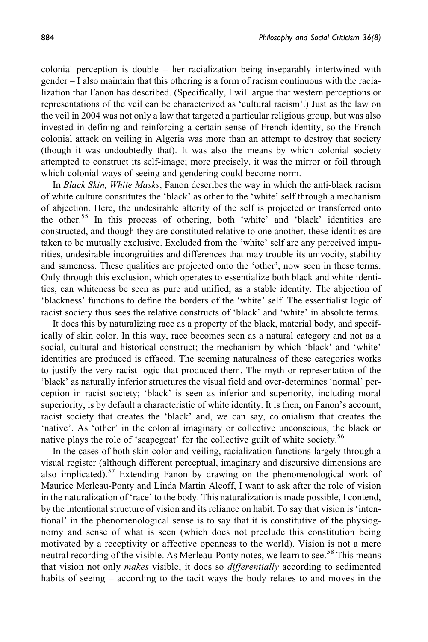colonial perception is double – her racialization being inseparably intertwined with gender – I also maintain that this othering is a form of racism continuous with the racialization that Fanon has described. (Specifically, I will argue that western perceptions or representations of the veil can be characterized as 'cultural racism'.) Just as the law on the veil in 2004 was not only a law that targeted a particular religious group, but was also invested in defining and reinforcing a certain sense of French identity, so the French colonial attack on veiling in Algeria was more than an attempt to destroy that society (though it was undoubtedly that). It was also the means by which colonial society attempted to construct its self-image; more precisely, it was the mirror or foil through which colonial ways of seeing and gendering could become norm.

In Black Skin, White Masks, Fanon describes the way in which the anti-black racism of white culture constitutes the 'black' as other to the 'white' self through a mechanism of abjection. Here, the undesirable alterity of the self is projected or transferred onto the other.<sup>55</sup> In this process of othering, both 'white' and 'black' identities are constructed, and though they are constituted relative to one another, these identities are taken to be mutually exclusive. Excluded from the 'white' self are any perceived impurities, undesirable incongruities and differences that may trouble its univocity, stability and sameness. These qualities are projected onto the 'other', now seen in these terms. Only through this exclusion, which operates to essentialize both black and white identities, can whiteness be seen as pure and unified, as a stable identity. The abjection of 'blackness' functions to define the borders of the 'white' self. The essentialist logic of racist society thus sees the relative constructs of 'black' and 'white' in absolute terms.

It does this by naturalizing race as a property of the black, material body, and specifically of skin color. In this way, race becomes seen as a natural category and not as a social, cultural and historical construct; the mechanism by which 'black' and 'white' identities are produced is effaced. The seeming naturalness of these categories works to justify the very racist logic that produced them. The myth or representation of the 'black' as naturally inferior structures the visual field and over-determines 'normal' perception in racist society; 'black' is seen as inferior and superiority, including moral superiority, is by default a characteristic of white identity. It is then, on Fanon's account, racist society that creates the 'black' and, we can say, colonialism that creates the 'native'. As 'other' in the colonial imaginary or collective unconscious, the black or native plays the role of 'scapegoat' for the collective guilt of white society.<sup>56</sup>

In the cases of both skin color and veiling, racialization functions largely through a visual register (although different perceptual, imaginary and discursive dimensions are also implicated).<sup>57</sup> Extending Fanon by drawing on the phenomenological work of Maurice Merleau-Ponty and Linda Martín Alcoff, I want to ask after the role of vision in the naturalization of 'race' to the body. This naturalization is made possible, I contend, by the intentional structure of vision and its reliance on habit. To say that vision is 'intentional' in the phenomenological sense is to say that it is constitutive of the physiognomy and sense of what is seen (which does not preclude this constitution being motivated by a receptivity or affective openness to the world). Vision is not a mere neutral recording of the visible. As Merleau-Ponty notes, we learn to see.<sup>58</sup> This means that vision not only *makes* visible, it does so *differentially* according to sedimented habits of seeing – according to the tacit ways the body relates to and moves in the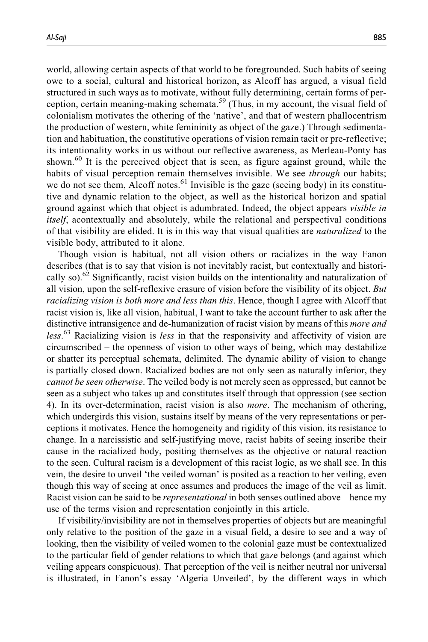world, allowing certain aspects of that world to be foregrounded. Such habits of seeing owe to a social, cultural and historical horizon, as Alcoff has argued, a visual field structured in such ways as to motivate, without fully determining, certain forms of perception, certain meaning-making schemata.<sup>59</sup> (Thus, in my account, the visual field of colonialism motivates the othering of the 'native', and that of western phallocentrism the production of western, white femininity as object of the gaze.) Through sedimentation and habituation, the constitutive operations of vision remain tacit or pre-reflective; its intentionality works in us without our reflective awareness, as Merleau-Ponty has shown.<sup>60</sup> It is the perceived object that is seen, as figure against ground, while the habits of visual perception remain themselves invisible. We see *through* our habits; we do not see them, Alcoff notes.<sup>61</sup> Invisible is the gaze (seeing body) in its constitutive and dynamic relation to the object, as well as the historical horizon and spatial ground against which that object is adumbrated. Indeed, the object appears visible in itself, acontextually and absolutely, while the relational and perspectival conditions of that visibility are elided. It is in this way that visual qualities are naturalized to the visible body, attributed to it alone.

Though vision is habitual, not all vision others or racializes in the way Fanon describes (that is to say that vision is not inevitably racist, but contextually and historically so). $^{62}$  Significantly, racist vision builds on the intentionality and naturalization of all vision, upon the self-reflexive erasure of vision before the visibility of its object. But racializing vision is both more and less than this. Hence, though I agree with Alcoff that racist vision is, like all vision, habitual, I want to take the account further to ask after the distinctive intransigence and de-humanization of racist vision by means of this *more and* less.<sup>63</sup> Racializing vision is less in that the responsivity and affectivity of vision are circumscribed – the openness of vision to other ways of being, which may destabilize or shatter its perceptual schemata, delimited. The dynamic ability of vision to change is partially closed down. Racialized bodies are not only seen as naturally inferior, they cannot be seen otherwise. The veiled body is not merely seen as oppressed, but cannot be seen as a subject who takes up and constitutes itself through that oppression (see section 4). In its over-determination, racist vision is also more. The mechanism of othering, which undergirds this vision, sustains itself by means of the very representations or perceptions it motivates. Hence the homogeneity and rigidity of this vision, its resistance to change. In a narcissistic and self-justifying move, racist habits of seeing inscribe their cause in the racialized body, positing themselves as the objective or natural reaction to the seen. Cultural racism is a development of this racist logic, as we shall see. In this vein, the desire to unveil 'the veiled woman' is posited as a reaction to her veiling, even though this way of seeing at once assumes and produces the image of the veil as limit. Racist vision can be said to be representational in both senses outlined above – hence my use of the terms vision and representation conjointly in this article.

If visibility/invisibility are not in themselves properties of objects but are meaningful only relative to the position of the gaze in a visual field, a desire to see and a way of looking, then the visibility of veiled women to the colonial gaze must be contextualized to the particular field of gender relations to which that gaze belongs (and against which veiling appears conspicuous). That perception of the veil is neither neutral nor universal is illustrated, in Fanon's essay 'Algeria Unveiled', by the different ways in which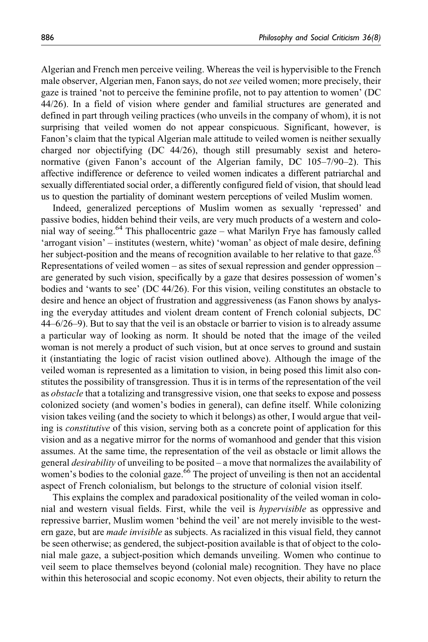Algerian and French men perceive veiling. Whereas the veil is hypervisible to the French male observer, Algerian men, Fanon says, do not *see* veiled women; more precisely, their gaze is trained 'not to perceive the feminine profile, not to pay attention to women' (DC 44/26). In a field of vision where gender and familial structures are generated and defined in part through veiling practices (who unveils in the company of whom), it is not surprising that veiled women do not appear conspicuous. Significant, however, is Fanon's claim that the typical Algerian male attitude to veiled women is neither sexually charged nor objectifying (DC 44/26), though still presumably sexist and heteronormative (given Fanon's account of the Algerian family, DC 105–7/90–2). This affective indifference or deference to veiled women indicates a different patriarchal and sexually differentiated social order, a differently configured field of vision, that should lead us to question the partiality of dominant western perceptions of veiled Muslim women.

Indeed, generalized perceptions of Muslim women as sexually 'repressed' and passive bodies, hidden behind their veils, are very much products of a western and colonial way of seeing.<sup>64</sup> This phallocentric gaze – what Marilyn Frye has famously called 'arrogant vision' – institutes (western, white) 'woman' as object of male desire, defining her subject-position and the means of recognition available to her relative to that gaze.<sup>65</sup> Representations of veiled women – as sites of sexual repression and gender oppression – are generated by such vision, specifically by a gaze that desires possession of women's bodies and 'wants to see' (DC 44/26). For this vision, veiling constitutes an obstacle to desire and hence an object of frustration and aggressiveness (as Fanon shows by analysing the everyday attitudes and violent dream content of French colonial subjects, DC 44–6/26–9). But to say that the veil is an obstacle or barrier to vision is to already assume a particular way of looking as norm. It should be noted that the image of the veiled woman is not merely a product of such vision, but at once serves to ground and sustain it (instantiating the logic of racist vision outlined above). Although the image of the veiled woman is represented as a limitation to vision, in being posed this limit also constitutes the possibility of transgression. Thus it is in terms of the representation of the veil as *obstacle* that a totalizing and transgressive vision, one that seeks to expose and possess colonized society (and women's bodies in general), can define itself. While colonizing vision takes veiling (and the society to which it belongs) as other, I would argue that veiling is constitutive of this vision, serving both as a concrete point of application for this vision and as a negative mirror for the norms of womanhood and gender that this vision assumes. At the same time, the representation of the veil as obstacle or limit allows the general desirability of unveiling to be posited – a move that normalizes the availability of women's bodies to the colonial gaze.<sup>66</sup> The project of unveiling is then not an accidental aspect of French colonialism, but belongs to the structure of colonial vision itself.

This explains the complex and paradoxical positionality of the veiled woman in colonial and western visual fields. First, while the veil is hypervisible as oppressive and repressive barrier, Muslim women 'behind the veil' are not merely invisible to the western gaze, but are *made invisible* as subjects. As racialized in this visual field, they cannot be seen otherwise; as gendered, the subject-position available is that of object to the colonial male gaze, a subject-position which demands unveiling. Women who continue to veil seem to place themselves beyond (colonial male) recognition. They have no place within this heterosocial and scopic economy. Not even objects, their ability to return the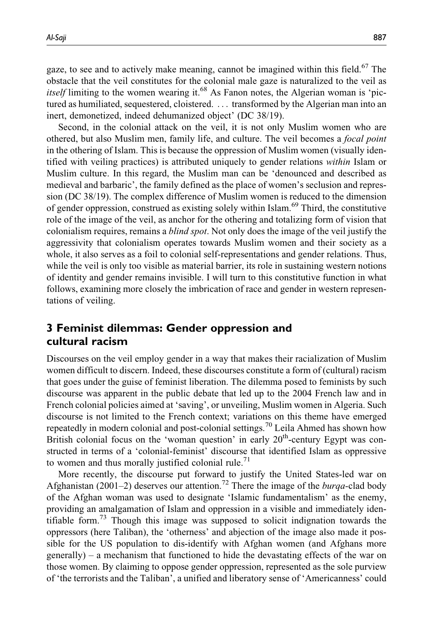gaze, to see and to actively make meaning, cannot be imagined within this field.<sup>67</sup> The obstacle that the veil constitutes for the colonial male gaze is naturalized to the veil as *itself* limiting to the women wearing it.<sup>68</sup> As Fanon notes, the Algerian woman is 'pictured as humiliated, sequestered, cloistered. ... transformed by the Algerian man into an inert, demonetized, indeed dehumanized object' (DC 38/19).

Second, in the colonial attack on the veil, it is not only Muslim women who are othered, but also Muslim men, family life, and culture. The veil becomes a focal point in the othering of Islam. This is because the oppression of Muslim women (visually identified with veiling practices) is attributed uniquely to gender relations within Islam or Muslim culture. In this regard, the Muslim man can be 'denounced and described as medieval and barbaric', the family defined as the place of women's seclusion and repression (DC 38/19). The complex difference of Muslim women is reduced to the dimension of gender oppression, construed as existing solely within Islam.<sup>69</sup> Third, the constitutive role of the image of the veil, as anchor for the othering and totalizing form of vision that colonialism requires, remains a blind spot. Not only does the image of the veil justify the aggressivity that colonialism operates towards Muslim women and their society as a whole, it also serves as a foil to colonial self-representations and gender relations. Thus, while the veil is only too visible as material barrier, its role in sustaining western notions of identity and gender remains invisible. I will turn to this constitutive function in what follows, examining more closely the imbrication of race and gender in western representations of veiling.

# 3 Feminist dilemmas: Gender oppression and cultural racism

Discourses on the veil employ gender in a way that makes their racialization of Muslim women difficult to discern. Indeed, these discourses constitute a form of (cultural) racism that goes under the guise of feminist liberation. The dilemma posed to feminists by such discourse was apparent in the public debate that led up to the 2004 French law and in French colonial policies aimed at 'saving', or unveiling, Muslim women in Algeria. Such discourse is not limited to the French context; variations on this theme have emerged repeatedly in modern colonial and post-colonial settings.<sup>70</sup> Leila Ahmed has shown how British colonial focus on the 'woman question' in early  $20<sup>th</sup>$ -century Egypt was constructed in terms of a 'colonial-feminist' discourse that identified Islam as oppressive to women and thus morally justified colonial rule.<sup>71</sup>

More recently, the discourse put forward to justify the United States-led war on Afghanistan (2001–2) deserves our attention.<sup>72</sup> There the image of the *burqa*-clad body of the Afghan woman was used to designate 'Islamic fundamentalism' as the enemy, providing an amalgamation of Islam and oppression in a visible and immediately identifiable form. $73$  Though this image was supposed to solicit indignation towards the oppressors (here Taliban), the 'otherness' and abjection of the image also made it possible for the US population to dis-identify with Afghan women (and Afghans more generally) – a mechanism that functioned to hide the devastating effects of the war on those women. By claiming to oppose gender oppression, represented as the sole purview of 'the terrorists and the Taliban', a unified and liberatory sense of 'Americanness' could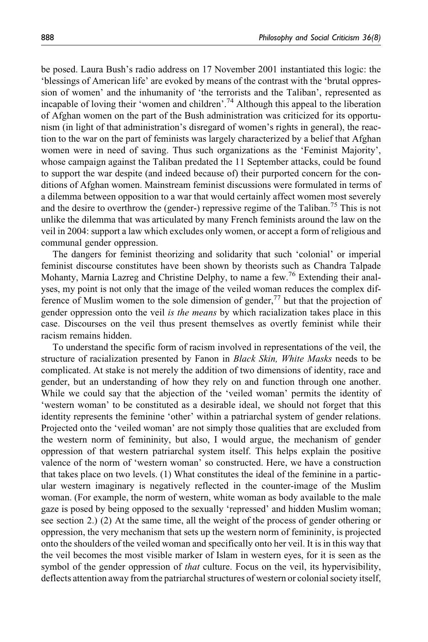be posed. Laura Bush's radio address on 17 November 2001 instantiated this logic: the 'blessings of American life' are evoked by means of the contrast with the 'brutal oppression of women' and the inhumanity of 'the terrorists and the Taliban', represented as incapable of loving their 'women and children'.<sup>74</sup> Although this appeal to the liberation of Afghan women on the part of the Bush administration was criticized for its opportunism (in light of that administration's disregard of women's rights in general), the reaction to the war on the part of feminists was largely characterized by a belief that Afghan women were in need of saving. Thus such organizations as the 'Feminist Majority', whose campaign against the Taliban predated the 11 September attacks, could be found to support the war despite (and indeed because of) their purported concern for the conditions of Afghan women. Mainstream feminist discussions were formulated in terms of a dilemma between opposition to a war that would certainly affect women most severely and the desire to overthrow the (gender-) repressive regime of the Taliban.<sup>75</sup> This is not unlike the dilemma that was articulated by many French feminists around the law on the veil in 2004: support a law which excludes only women, or accept a form of religious and communal gender oppression.

The dangers for feminist theorizing and solidarity that such 'colonial' or imperial feminist discourse constitutes have been shown by theorists such as Chandra Talpade Mohanty, Marnia Lazreg and Christine Delphy, to name a few.<sup>76</sup> Extending their analyses, my point is not only that the image of the veiled woman reduces the complex difference of Muslim women to the sole dimension of gender,<sup>77</sup> but that the projection of gender oppression onto the veil *is the means* by which racialization takes place in this case. Discourses on the veil thus present themselves as overtly feminist while their racism remains hidden.

To understand the specific form of racism involved in representations of the veil, the structure of racialization presented by Fanon in *Black Skin, White Masks* needs to be complicated. At stake is not merely the addition of two dimensions of identity, race and gender, but an understanding of how they rely on and function through one another. While we could say that the abjection of the 'veiled woman' permits the identity of 'western woman' to be constituted as a desirable ideal, we should not forget that this identity represents the feminine 'other' within a patriarchal system of gender relations. Projected onto the 'veiled woman' are not simply those qualities that are excluded from the western norm of femininity, but also, I would argue, the mechanism of gender oppression of that western patriarchal system itself. This helps explain the positive valence of the norm of 'western woman' so constructed. Here, we have a construction that takes place on two levels. (1) What constitutes the ideal of the feminine in a particular western imaginary is negatively reflected in the counter-image of the Muslim woman. (For example, the norm of western, white woman as body available to the male gaze is posed by being opposed to the sexually 'repressed' and hidden Muslim woman; see section 2.) (2) At the same time, all the weight of the process of gender othering or oppression, the very mechanism that sets up the western norm of femininity, is projected onto the shoulders of the veiled woman and specifically onto her veil. It is in this way that the veil becomes the most visible marker of Islam in western eyes, for it is seen as the symbol of the gender oppression of *that* culture. Focus on the veil, its hypervisibility, deflects attention away from the patriarchal structures of western or colonial society itself,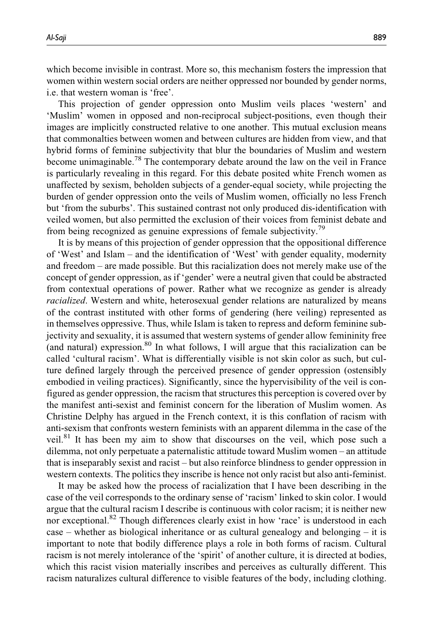which become invisible in contrast. More so, this mechanism fosters the impression that women within western social orders are neither oppressed nor bounded by gender norms, i.e. that western woman is 'free'.

This projection of gender oppression onto Muslim veils places 'western' and 'Muslim' women in opposed and non-reciprocal subject-positions, even though their images are implicitly constructed relative to one another. This mutual exclusion means that commonalties between women and between cultures are hidden from view, and that hybrid forms of feminine subjectivity that blur the boundaries of Muslim and western become unimaginable.<sup>78</sup> The contemporary debate around the law on the veil in France is particularly revealing in this regard. For this debate posited white French women as unaffected by sexism, beholden subjects of a gender-equal society, while projecting the burden of gender oppression onto the veils of Muslim women, officially no less French but 'from the suburbs'. This sustained contrast not only produced dis-identification with veiled women, but also permitted the exclusion of their voices from feminist debate and from being recognized as genuine expressions of female subjectivity.79

It is by means of this projection of gender oppression that the oppositional difference of 'West' and Islam – and the identification of 'West' with gender equality, modernity and freedom – are made possible. But this racialization does not merely make use of the concept of gender oppression, as if 'gender' were a neutral given that could be abstracted from contextual operations of power. Rather what we recognize as gender is already racialized. Western and white, heterosexual gender relations are naturalized by means of the contrast instituted with other forms of gendering (here veiling) represented as in themselves oppressive. Thus, while Islam is taken to repress and deform feminine subjectivity and sexuality, it is assumed that western systems of gender allow femininity free (and natural) expression.<sup>80</sup> In what follows, I will argue that this racialization can be called 'cultural racism'. What is differentially visible is not skin color as such, but culture defined largely through the perceived presence of gender oppression (ostensibly embodied in veiling practices). Significantly, since the hypervisibility of the veil is configured as gender oppression, the racism that structures this perception is covered over by the manifest anti-sexist and feminist concern for the liberation of Muslim women. As Christine Delphy has argued in the French context, it is this conflation of racism with anti-sexism that confronts western feminists with an apparent dilemma in the case of the veil.<sup>81</sup> It has been my aim to show that discourses on the veil, which pose such a dilemma, not only perpetuate a paternalistic attitude toward Muslim women – an attitude that is inseparably sexist and racist – but also reinforce blindness to gender oppression in western contexts. The politics they inscribe is hence not only racist but also anti-feminist.

It may be asked how the process of racialization that I have been describing in the case of the veil corresponds to the ordinary sense of 'racism' linked to skin color. I would argue that the cultural racism I describe is continuous with color racism; it is neither new nor exceptional.<sup>82</sup> Though differences clearly exist in how 'race' is understood in each case – whether as biological inheritance or as cultural genealogy and belonging – it is important to note that bodily difference plays a role in both forms of racism. Cultural racism is not merely intolerance of the 'spirit' of another culture, it is directed at bodies, which this racist vision materially inscribes and perceives as culturally different. This racism naturalizes cultural difference to visible features of the body, including clothing.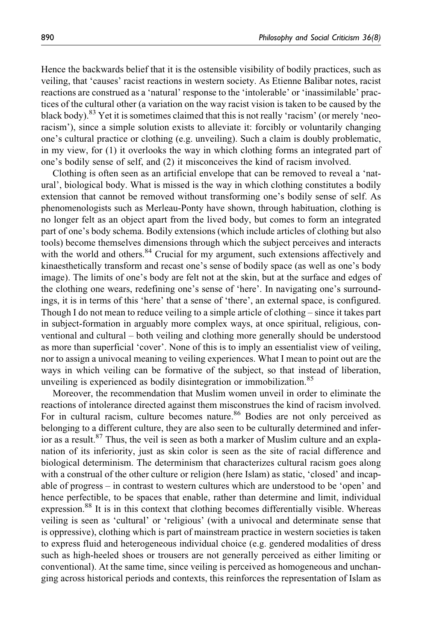Hence the backwards belief that it is the ostensible visibility of bodily practices, such as veiling, that 'causes' racist reactions in western society. As Etienne Balibar notes, racist reactions are construed as a 'natural' response to the 'intolerable' or 'inassimilable' practices of the cultural other (a variation on the way racist vision is taken to be caused by the black body).<sup>83</sup> Yet it is sometimes claimed that this is not really 'racism' (or merely 'neoracism'), since a simple solution exists to alleviate it: forcibly or voluntarily changing one's cultural practice or clothing (e.g. unveiling). Such a claim is doubly problematic, in my view, for (1) it overlooks the way in which clothing forms an integrated part of one's bodily sense of self, and (2) it misconceives the kind of racism involved.

Clothing is often seen as an artificial envelope that can be removed to reveal a 'natural', biological body. What is missed is the way in which clothing constitutes a bodily extension that cannot be removed without transforming one's bodily sense of self. As phenomenologists such as Merleau-Ponty have shown, through habituation, clothing is no longer felt as an object apart from the lived body, but comes to form an integrated part of one's body schema. Bodily extensions (which include articles of clothing but also tools) become themselves dimensions through which the subject perceives and interacts with the world and others.<sup>84</sup> Crucial for my argument, such extensions affectively and kinaesthetically transform and recast one's sense of bodily space (as well as one's body image). The limits of one's body are felt not at the skin, but at the surface and edges of the clothing one wears, redefining one's sense of 'here'. In navigating one's surroundings, it is in terms of this 'here' that a sense of 'there', an external space, is configured. Though I do not mean to reduce veiling to a simple article of clothing – since it takes part in subject-formation in arguably more complex ways, at once spiritual, religious, conventional and cultural – both veiling and clothing more generally should be understood as more than superficial 'cover'. None of this is to imply an essentialist view of veiling, nor to assign a univocal meaning to veiling experiences. What I mean to point out are the ways in which veiling can be formative of the subject, so that instead of liberation, unveiling is experienced as bodily disintegration or immobilization.<sup>85</sup>

Moreover, the recommendation that Muslim women unveil in order to eliminate the reactions of intolerance directed against them misconstrues the kind of racism involved. For in cultural racism, culture becomes nature.<sup>86</sup> Bodies are not only perceived as belonging to a different culture, they are also seen to be culturally determined and inferior as a result.<sup>87</sup> Thus, the veil is seen as both a marker of Muslim culture and an explanation of its inferiority, just as skin color is seen as the site of racial difference and biological determinism. The determinism that characterizes cultural racism goes along with a construal of the other culture or religion (here Islam) as static, 'closed' and incapable of progress – in contrast to western cultures which are understood to be 'open' and hence perfectible, to be spaces that enable, rather than determine and limit, individual expression.<sup>88</sup> It is in this context that clothing becomes differentially visible. Whereas veiling is seen as 'cultural' or 'religious' (with a univocal and determinate sense that is oppressive), clothing which is part of mainstream practice in western societies is taken to express fluid and heterogeneous individual choice (e.g. gendered modalities of dress such as high-heeled shoes or trousers are not generally perceived as either limiting or conventional). At the same time, since veiling is perceived as homogeneous and unchanging across historical periods and contexts, this reinforces the representation of Islam as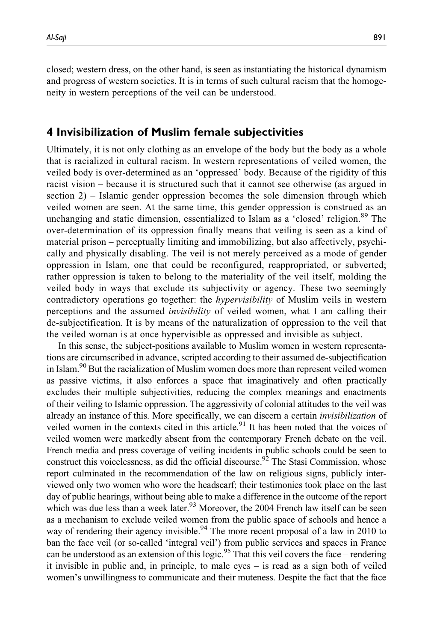closed; western dress, on the other hand, is seen as instantiating the historical dynamism and progress of western societies. It is in terms of such cultural racism that the homogeneity in western perceptions of the veil can be understood.

### 4 Invisibilization of Muslim female subjectivities

Ultimately, it is not only clothing as an envelope of the body but the body as a whole that is racialized in cultural racism. In western representations of veiled women, the veiled body is over-determined as an 'oppressed' body. Because of the rigidity of this racist vision – because it is structured such that it cannot see otherwise (as argued in section 2) – Islamic gender oppression becomes the sole dimension through which veiled women are seen. At the same time, this gender oppression is construed as an unchanging and static dimension, essentialized to Islam as a 'closed' religion.<sup>89</sup> The over-determination of its oppression finally means that veiling is seen as a kind of material prison – perceptually limiting and immobilizing, but also affectively, psychically and physically disabling. The veil is not merely perceived as a mode of gender oppression in Islam, one that could be reconfigured, reappropriated, or subverted; rather oppression is taken to belong to the materiality of the veil itself, molding the veiled body in ways that exclude its subjectivity or agency. These two seemingly contradictory operations go together: the hypervisibility of Muslim veils in western perceptions and the assumed invisibility of veiled women, what I am calling their de-subjectification. It is by means of the naturalization of oppression to the veil that the veiled woman is at once hypervisible as oppressed and invisible as subject.

In this sense, the subject-positions available to Muslim women in western representations are circumscribed in advance, scripted according to their assumed de-subjectification in Islam.<sup>90</sup> But the racialization of Muslim women does more than represent veiled women as passive victims, it also enforces a space that imaginatively and often practically excludes their multiple subjectivities, reducing the complex meanings and enactments of their veiling to Islamic oppression. The aggressivity of colonial attitudes to the veil was already an instance of this. More specifically, we can discern a certain invisibilization of veiled women in the contexts cited in this article.<sup>91</sup> It has been noted that the voices of veiled women were markedly absent from the contemporary French debate on the veil. French media and press coverage of veiling incidents in public schools could be seen to construct this voicelessness, as did the official discourse.<sup>92</sup> The Stasi Commission, whose report culminated in the recommendation of the law on religious signs, publicly interviewed only two women who wore the headscarf; their testimonies took place on the last day of public hearings, without being able to make a difference in the outcome of the report which was due less than a week later.<sup>93</sup> Moreover, the 2004 French law itself can be seen as a mechanism to exclude veiled women from the public space of schools and hence a way of rendering their agency invisible.<sup>94</sup> The more recent proposal of a law in 2010 to ban the face veil (or so-called 'integral veil') from public services and spaces in France can be understood as an extension of this logic.<sup>95</sup> That this veil covers the face – rendering it invisible in public and, in principle, to male eyes – is read as a sign both of veiled women's unwillingness to communicate and their muteness. Despite the fact that the face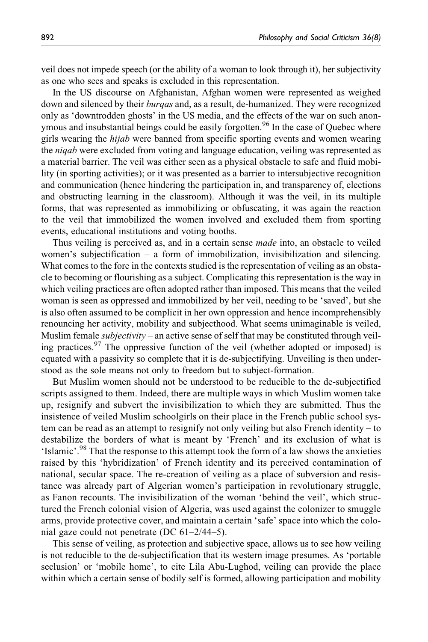veil does not impede speech (or the ability of a woman to look through it), her subjectivity as one who sees and speaks is excluded in this representation.

In the US discourse on Afghanistan, Afghan women were represented as weighed down and silenced by their *burgas* and, as a result, de-humanized. They were recognized only as 'downtrodden ghosts' in the US media, and the effects of the war on such anonymous and insubstantial beings could be easily forgotten.<sup>96</sup> In the case of Quebec where girls wearing the *hijab* were banned from specific sporting events and women wearing the *niqab* were excluded from voting and language education, veiling was represented as a material barrier. The veil was either seen as a physical obstacle to safe and fluid mobility (in sporting activities); or it was presented as a barrier to intersubjective recognition and communication (hence hindering the participation in, and transparency of, elections and obstructing learning in the classroom). Although it was the veil, in its multiple forms, that was represented as immobilizing or obfuscating, it was again the reaction to the veil that immobilized the women involved and excluded them from sporting events, educational institutions and voting booths.

Thus veiling is perceived as, and in a certain sense *made* into, an obstacle to veiled women's subjectification – a form of immobilization, invisibilization and silencing. What comes to the fore in the contexts studied is the representation of veiling as an obstacle to becoming or flourishing as a subject. Complicating this representation is the way in which veiling practices are often adopted rather than imposed. This means that the veiled woman is seen as oppressed and immobilized by her veil, needing to be 'saved', but she is also often assumed to be complicit in her own oppression and hence incomprehensibly renouncing her activity, mobility and subjecthood. What seems unimaginable is veiled, Muslim female *subjectivity* – an active sense of self that may be constituted through veiling practices.<sup>97</sup> The oppressive function of the veil (whether adopted or imposed) is equated with a passivity so complete that it is de-subjectifying. Unveiling is then understood as the sole means not only to freedom but to subject-formation.

But Muslim women should not be understood to be reducible to the de-subjectified scripts assigned to them. Indeed, there are multiple ways in which Muslim women take up, resignify and subvert the invisibilization to which they are submitted. Thus the insistence of veiled Muslim schoolgirls on their place in the French public school system can be read as an attempt to resignify not only veiling but also French identity – to destabilize the borders of what is meant by 'French' and its exclusion of what is 'Islamic'.<sup>98</sup> That the response to this attempt took the form of a law shows the anxieties raised by this 'hybridization' of French identity and its perceived contamination of national, secular space. The re-creation of veiling as a place of subversion and resistance was already part of Algerian women's participation in revolutionary struggle, as Fanon recounts. The invisibilization of the woman 'behind the veil', which structured the French colonial vision of Algeria, was used against the colonizer to smuggle arms, provide protective cover, and maintain a certain 'safe' space into which the colonial gaze could not penetrate (DC 61–2/44–5).

This sense of veiling, as protection and subjective space, allows us to see how veiling is not reducible to the de-subjectification that its western image presumes. As 'portable seclusion' or 'mobile home', to cite Lila Abu-Lughod, veiling can provide the place within which a certain sense of bodily self is formed, allowing participation and mobility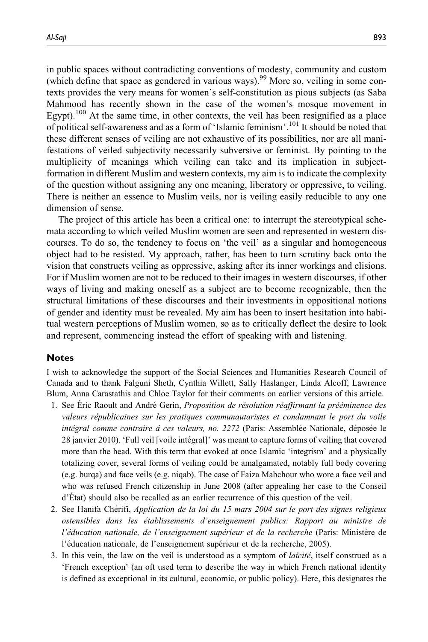in public spaces without contradicting conventions of modesty, community and custom (which define that space as gendered in various ways).<sup>99</sup> More so, veiling in some contexts provides the very means for women's self-constitution as pious subjects (as Saba Mahmood has recently shown in the case of the women's mosque movement in Egypt).<sup>100</sup> At the same time, in other contexts, the veil has been resignified as a place of political self-awareness and as a form of 'Islamic feminism'.<sup>101</sup> It should be noted that these different senses of veiling are not exhaustive of its possibilities, nor are all manifestations of veiled subjectivity necessarily subversive or feminist. By pointing to the multiplicity of meanings which veiling can take and its implication in subjectformation in different Muslim and western contexts, my aim is to indicate the complexity of the question without assigning any one meaning, liberatory or oppressive, to veiling. There is neither an essence to Muslim veils, nor is veiling easily reducible to any one dimension of sense.

The project of this article has been a critical one: to interrupt the stereotypical schemata according to which veiled Muslim women are seen and represented in western discourses. To do so, the tendency to focus on 'the veil' as a singular and homogeneous object had to be resisted. My approach, rather, has been to turn scrutiny back onto the vision that constructs veiling as oppressive, asking after its inner workings and elisions. For if Muslim women are not to be reduced to their images in western discourses, if other ways of living and making oneself as a subject are to become recognizable, then the structural limitations of these discourses and their investments in oppositional notions of gender and identity must be revealed. My aim has been to insert hesitation into habitual western perceptions of Muslim women, so as to critically deflect the desire to look and represent, commencing instead the effort of speaking with and listening.

#### Notes

I wish to acknowledge the support of the Social Sciences and Humanities Research Council of Canada and to thank Falguni Sheth, Cynthia Willett, Sally Haslanger, Linda Alcoff, Lawrence Blum, Anna Carastathis and Chloe Taylor for their comments on earlier versions of this article.

- 1. See Eric Raoult and André Gerin, *Proposition de résolution réaffirmant la prééminence des* valeurs républicaines sur les pratiques communautaristes et condamnant le port du voile intégral comme contraire à ces valeurs, no. 2272 (Paris: Assemblée Nationale, déposée le 28 janvier 2010). 'Full veil [voile intégral]' was meant to capture forms of veiling that covered more than the head. With this term that evoked at once Islamic 'integrism' and a physically totalizing cover, several forms of veiling could be amalgamated, notably full body covering (e.g. burqa) and face veils (e.g. niqab). The case of Faiza Mabchour who wore a face veil and who was refused French citizenship in June 2008 (after appealing her case to the Conseil d'E´tat) should also be recalled as an earlier recurrence of this question of the veil.
- 2. See Hanifa Chérifi, Application de la loi du 15 mars 2004 sur le port des signes religieux ostensibles dans les etablissements d'enseignement publics: Rapport au ministre de ´ l'éducation nationale, de l'enseignement supérieur et de la recherche (Paris: Ministère de l'éducation nationale, de l'enseignement supérieur et de la recherche, 2005).
- 3. In this vein, the law on the veil is understood as a symptom of *laicité*, itself construed as a 'French exception' (an oft used term to describe the way in which French national identity is defined as exceptional in its cultural, economic, or public policy). Here, this designates the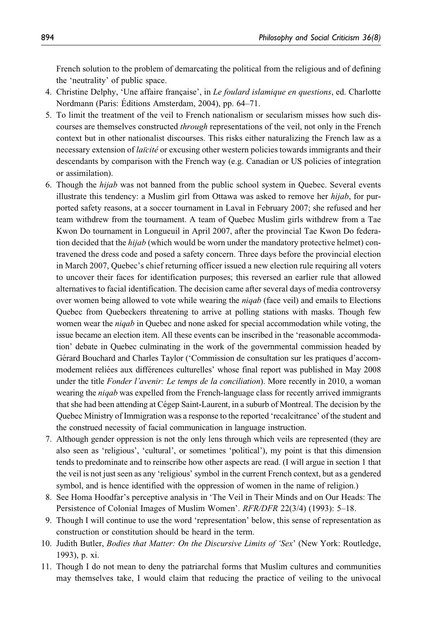French solution to the problem of demarcating the political from the religious and of defining the 'neutrality' of public space.

- 4. Christine Delphy, 'Une affaire française', in Le foulard islamique en questions, ed. Charlotte Nordmann (Paris: Éditions Amsterdam, 2004), pp. 64–71.
- 5. To limit the treatment of the veil to French nationalism or secularism misses how such discourses are themselves constructed *through* representations of the veil, not only in the French context but in other nationalist discourses. This risks either naturalizing the French law as a necessary extension of *laicité* or excusing other western policies towards immigrants and their descendants by comparison with the French way (e.g. Canadian or US policies of integration or assimilation).
- 6. Though the hijab was not banned from the public school system in Quebec. Several events illustrate this tendency: a Muslim girl from Ottawa was asked to remove her *hijab*, for purported safety reasons, at a soccer tournament in Laval in February 2007; she refused and her team withdrew from the tournament. A team of Quebec Muslim girls withdrew from a Tae Kwon Do tournament in Longueuil in April 2007, after the provincial Tae Kwon Do federation decided that the *hijab* (which would be worn under the mandatory protective helmet) contravened the dress code and posed a safety concern. Three days before the provincial election in March 2007, Quebec's chief returning officer issued a new election rule requiring all voters to uncover their faces for identification purposes; this reversed an earlier rule that allowed alternatives to facial identification. The decision came after several days of media controversy over women being allowed to vote while wearing the *niqab* (face veil) and emails to Elections Quebec from Quebeckers threatening to arrive at polling stations with masks. Though few women wear the *niqab* in Quebec and none asked for special accommodation while voting, the issue became an election item. All these events can be inscribed in the 'reasonable accommodation' debate in Quebec culminating in the work of the governmental commission headed by Gérard Bouchard and Charles Taylor ('Commission de consultation sur les pratiques d'accommodement reliées aux différences culturelles' whose final report was published in May 2008 under the title Fonder l'avenir: Le temps de la conciliation). More recently in 2010, a woman wearing the *niqab* was expelled from the French-language class for recently arrived immigrants that she had been attending at Cégep Saint-Laurent, in a suburb of Montreal. The decision by the Quebec Ministry of Immigration was a response to the reported 'recalcitrance' of the student and the construed necessity of facial communication in language instruction.
- 7. Although gender oppression is not the only lens through which veils are represented (they are also seen as 'religious', 'cultural', or sometimes 'political'), my point is that this dimension tends to predominate and to reinscribe how other aspects are read. (I will argue in section 1 that the veil is not just seen as any 'religious' symbol in the current French context, but as a gendered symbol, and is hence identified with the oppression of women in the name of religion.)
- 8. See Homa Hoodfar's perceptive analysis in 'The Veil in Their Minds and on Our Heads: The Persistence of Colonial Images of Muslim Women'. RFR/DFR 22(3/4) (1993): 5–18.
- 9. Though I will continue to use the word 'representation' below, this sense of representation as construction or constitution should be heard in the term.
- 10. Judith Butler, *Bodies that Matter: On the Discursive Limits of 'Sex'* (New York: Routledge, 1993), p. xi.
- 11. Though I do not mean to deny the patriarchal forms that Muslim cultures and communities may themselves take, I would claim that reducing the practice of veiling to the univocal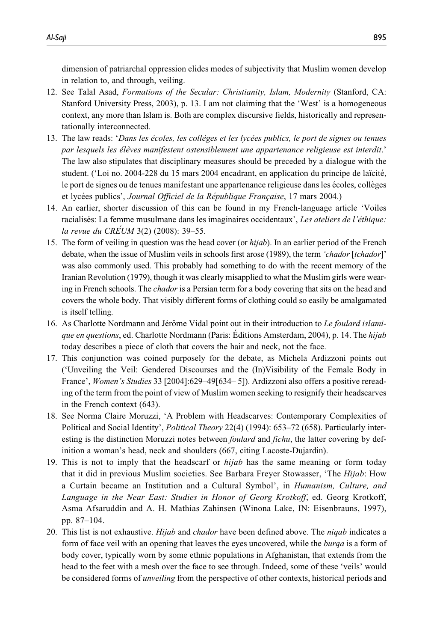dimension of patriarchal oppression elides modes of subjectivity that Muslim women develop in relation to, and through, veiling.

- 12. See Talal Asad, Formations of the Secular: Christianity, Islam, Modernity (Stanford, CA: Stanford University Press, 2003), p. 13. I am not claiming that the 'West' is a homogeneous context, any more than Islam is. Both are complex discursive fields, historically and representationally interconnected.
- 13. The law reads: 'Dans les écoles, les collèges et les lycées publics, le port de signes ou tenues par lesquels les élèves manifestent ostensiblement une appartenance religieuse est interdit.' The law also stipulates that disciplinary measures should be preceded by a dialogue with the student. ('Loi no. 2004-228 du 15 mars 2004 encadrant, en application du principe de laïcité, le port de signes ou de tenues manifestant une appartenance religieuse dans les écoles, collèges et lycées publics', Journal Officiel de la République Francaise, 17 mars 2004.)
- 14. An earlier, shorter discussion of this can be found in my French-language article 'Voiles racialisés: La femme musulmane dans les imaginaires occidentaux', Les ateliers de l'éthique: la revue du CRE<sup> $U$ M</sup> 3(2) (2008): 39–55.
- 15. The form of veiling in question was the head cover (or *hijab*). In an earlier period of the French debate, when the issue of Muslim veils in schools first arose (1989), the term 'chador [tchador]' was also commonly used. This probably had something to do with the recent memory of the Iranian Revolution (1979), though it was clearly misapplied to what the Muslim girls were wearing in French schools. The *chador* is a Persian term for a body covering that sits on the head and covers the whole body. That visibly different forms of clothing could so easily be amalgamated is itself telling.
- 16. As Charlotte Nordmann and Jérôme Vidal point out in their introduction to Le foulard islamique en questions, ed. Charlotte Nordmann (Paris: Éditions Amsterdam, 2004), p. 14. The hijab today describes a piece of cloth that covers the hair and neck, not the face.
- 17. This conjunction was coined purposely for the debate, as Michela Ardizzoni points out ('Unveiling the Veil: Gendered Discourses and the (In)Visibility of the Female Body in France', Women's Studies 33 [2004]:629–49[634– 5]). Ardizzoni also offers a positive rereading of the term from the point of view of Muslim women seeking to resignify their headscarves in the French context (643).
- 18. See Norma Claire Moruzzi, 'A Problem with Headscarves: Contemporary Complexities of Political and Social Identity', Political Theory 22(4) (1994): 653–72 (658). Particularly interesting is the distinction Moruzzi notes between *foulard* and *fichu*, the latter covering by definition a woman's head, neck and shoulders (667, citing Lacoste-Dujardin).
- 19. This is not to imply that the headscarf or *hijab* has the same meaning or form today that it did in previous Muslim societies. See Barbara Freyer Stowasser, 'The Hijab: How a Curtain became an Institution and a Cultural Symbol', in Humanism, Culture, and Language in the Near East: Studies in Honor of Georg Krotkoff, ed. Georg Krotkoff, Asma Afsaruddin and A. H. Mathias Zahinsen (Winona Lake, IN: Eisenbrauns, 1997), pp. 87–104.
- 20. This list is not exhaustive. Hijab and chador have been defined above. The *niqab* indicates a form of face veil with an opening that leaves the eyes uncovered, while the *burqa* is a form of body cover, typically worn by some ethnic populations in Afghanistan, that extends from the head to the feet with a mesh over the face to see through. Indeed, some of these 'veils' would be considered forms of *unveiling* from the perspective of other contexts, historical periods and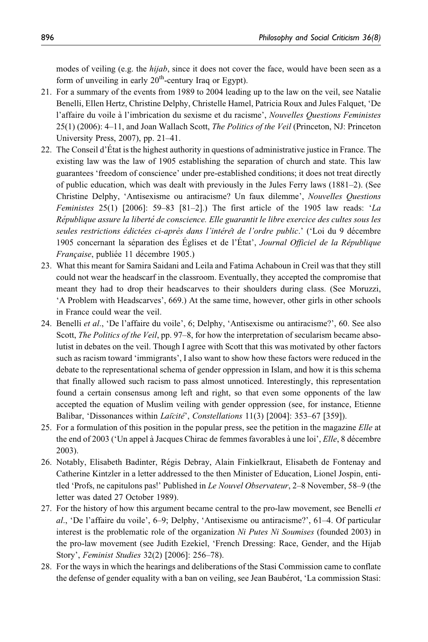modes of veiling (e.g. the *hijab*, since it does not cover the face, would have been seen as a form of unveiling in early  $20<sup>th</sup>$ -century Iraq or Egypt).

- 21. For a summary of the events from 1989 to 2004 leading up to the law on the veil, see Natalie Benelli, Ellen Hertz, Christine Delphy, Christelle Hamel, Patricia Roux and Jules Falquet, 'De l'affaire du voile à l'imbrication du sexisme et du racisme', Nouvelles Questions Feministes 25(1) (2006): 4–11, and Joan Wallach Scott, The Politics of the Veil (Princeton, NJ: Princeton University Press, 2007), pp. 21–41.
- 22. The Conseil d'État is the highest authority in questions of administrative justice in France. The existing law was the law of 1905 establishing the separation of church and state. This law guarantees 'freedom of conscience' under pre-established conditions; it does not treat directly of public education, which was dealt with previously in the Jules Ferry laws (1881–2). (See Christine Delphy, 'Antisexisme ou antiracisme? Un faux dilemme', Nouvelles Questions Feministes 25(1) [2006]: 59–83 [81–2].) The first article of the 1905 law reads: 'La République assure la liberté de conscience. Elle guarantit le libre exercice des cultes sous les seules restrictions édictées ci-après dans l'intérét de l'ordre public.' ('Loi du 9 décembre 1905 concernant la séparation des Églises et de l'État', *Journal Officiel de la République* Française, publiée 11 décembre 1905.)
- 23. What this meant for Samira Saidani and Leila and Fatima Achaboun in Creil was that they still could not wear the headscarf in the classroom. Eventually, they accepted the compromise that meant they had to drop their headscarves to their shoulders during class. (See Moruzzi, 'A Problem with Headscarves', 669.) At the same time, however, other girls in other schools in France could wear the veil.
- 24. Benelli et al., 'De l'affaire du voile', 6; Delphy, 'Antisexisme ou antiracisme?', 60. See also Scott, *The Politics of the Veil*, pp. 97–8, for how the interpretation of secularism became absolutist in debates on the veil. Though I agree with Scott that this was motivated by other factors such as racism toward 'immigrants', I also want to show how these factors were reduced in the debate to the representational schema of gender oppression in Islam, and how it is this schema that finally allowed such racism to pass almost unnoticed. Interestingly, this representation found a certain consensus among left and right, so that even some opponents of the law accepted the equation of Muslim veiling with gender oppression (see, for instance, Etienne Balibar, 'Dissonances within Laicité', Constellations 11(3) [2004]: 353–67 [359]).
- 25. For a formulation of this position in the popular press, see the petition in the magazine Elle at the end of 2003 ('Un appel à Jacques Chirac de femmes favorables à une loi', *Elle*, 8 décembre 2003).
- 26. Notably, Elisabeth Badinter, Régis Debray, Alain Finkielkraut, Elisabeth de Fontenay and Catherine Kintzler in a letter addressed to the then Minister of Education, Lionel Jospin, entitled 'Profs, ne capitulons pas!' Published in Le Nouvel Observateur, 2–8 November, 58–9 (the letter was dated 27 October 1989).
- 27. For the history of how this argument became central to the pro-law movement, see Benelli et al., 'De l'affaire du voile', 6–9; Delphy, 'Antisexisme ou antiracisme?', 61–4. Of particular interest is the problematic role of the organization Ni Putes Ni Soumises (founded 2003) in the pro-law movement (see Judith Ezekiel, 'French Dressing: Race, Gender, and the Hijab Story', Feminist Studies 32(2) [2006]: 256–78).
- 28. For the ways in which the hearings and deliberations of the Stasi Commission came to conflate the defense of gender equality with a ban on veiling, see Jean Baubérot, 'La commission Stasi: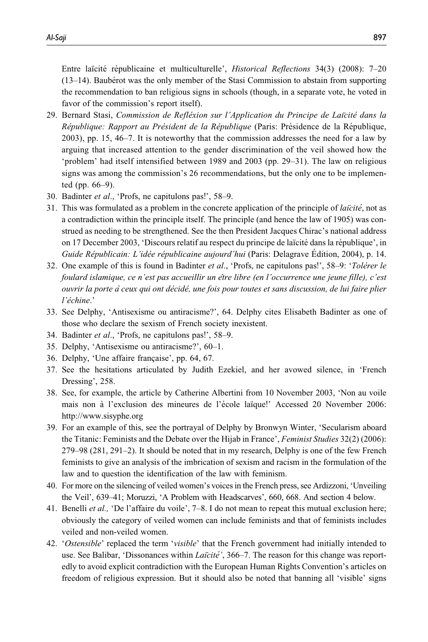Entre laïcité républicaine et multiculturelle', Historical Reflections 34(3) (2008): 7–20  $(13-14)$ . Baubérot was the only member of the Stasi Commission to abstain from supporting the recommendation to ban religious signs in schools (though, in a separate vote, he voted in favor of the commission's report itself).

- 29. Bernard Stasi, Commission de Refléxion sur l'Application du Principe de Laicité dans la République: Rapport au Président de la République (Paris: Présidence de la République, 2003), pp. 15, 46–7. It is noteworthy that the commission addresses the need for a law by arguing that increased attention to the gender discrimination of the veil showed how the 'problem' had itself intensified between 1989 and 2003 (pp. 29–31). The law on religious signs was among the commission's 26 recommendations, but the only one to be implemented (pp. 66–9).
- 30. Badinter et al., 'Profs, ne capitulons pas!', 58–9.
- 31. This was formulated as a problem in the concrete application of the principle of *laicité*, not as a contradiction within the principle itself. The principle (and hence the law of 1905) was construed as needing to be strengthened. See the then President Jacques Chirac's national address on 17 December 2003, 'Discours relatif au respect du principe de laïcité dans la république', in Guide Républicain: L'idée républicaine aujourd'hui (Paris: Delagrave Édition, 2004), p. 14.
- 32. One example of this is found in Badinter *et al.*, 'Profs, ne capitulons pas!',  $58-9$ : 'Tolerer le foulard islamique, ce n'est pas accueillir un être libre (en l'occurrence une jeune fille), c'est ouvrir la porte à ceux qui ont décidé, une fois pour toutes et sans discussion, de lui faire plier l'échine.
- 33. See Delphy, 'Antisexisme ou antiracisme?', 64. Delphy cites Elisabeth Badinter as one of those who declare the sexism of French society inexistent.
- 34. Badinter et al., 'Profs, ne capitulons pas!', 58–9.
- 35. Delphy, 'Antisexisme ou antiracisme?', 60–1.
- 36. Delphy, 'Une affaire française', pp. 64, 67.
- 37. See the hesitations articulated by Judith Ezekiel, and her avowed silence, in 'French Dressing', 258.
- 38. See, for example, the article by Catherine Albertini from 10 November 2003, 'Non au voile mais non à l'exclusion des mineures de l'école laïque!' Accessed 20 November 2006: http://www.sisyphe.org
- 39. For an example of this, see the portrayal of Delphy by Bronwyn Winter, 'Secularism aboard the Titanic: Feminists and the Debate over the Hijab in France', Feminist Studies 32(2) (2006): 279–98 (281, 291–2). It should be noted that in my research, Delphy is one of the few French feminists to give an analysis of the imbrication of sexism and racism in the formulation of the law and to question the identification of the law with feminism.
- 40. For more on the silencing of veiled women's voices in the French press, see Ardizzoni, 'Unveiling the Veil', 639–41; Moruzzi, 'A Problem with Headscarves', 660, 668. And section 4 below.
- 41. Benelli et al., 'De l'affaire du voile', 7–8. I do not mean to repeat this mutual exclusion here; obviously the category of veiled women can include feminists and that of feminists includes veiled and non-veiled women.
- 42. 'Ostensible' replaced the term 'visible' that the French government had initially intended to use. See Balibar, 'Dissonances within *Laicité'*, 366–7. The reason for this change was reportedly to avoid explicit contradiction with the European Human Rights Convention's articles on freedom of religious expression. But it should also be noted that banning all 'visible' signs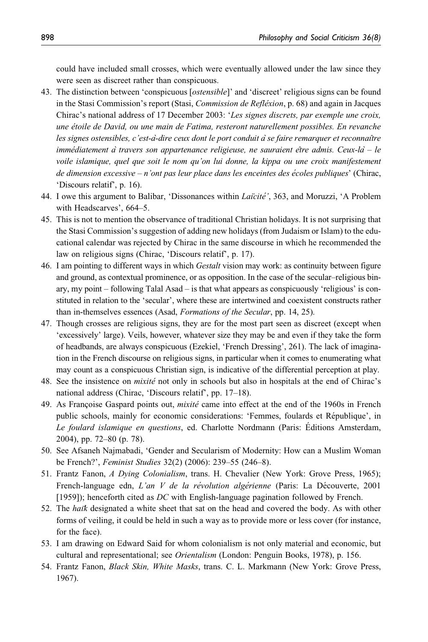could have included small crosses, which were eventually allowed under the law since they were seen as discreet rather than conspicuous.

- 43. The distinction between 'conspicuous [*ostensible*]' and 'discreet' religious signs can be found in the Stasi Commission's report (Stasi, *Commission de Refléxion*, p. 68) and again in Jacques Chirac's national address of 17 December 2003: 'Les signes discrets, par exemple une croix, une étoile de David, ou une main de Fatima, resteront naturellement possibles. En revanche les signes ostensibles, c'est-à-dire ceux dont le port conduit à se faire remarquer et reconnaître immédiatement à travers son appartenance religieuse, ne sauraient être admis. Ceux-là - le voile islamique, quel que soit le nom qu'on lui donne, la kippa ou une croix manifestement de dimension excessive  $-n'$  ont pas leur place dans les enceintes des écoles publiques' (Chirac, 'Discours relatif', p. 16).
- 44. I owe this argument to Balibar, 'Dissonances within *Laicité'*, 363, and Moruzzi, 'A Problem with Headscarves', 664–5.
- 45. This is not to mention the observance of traditional Christian holidays. It is not surprising that the Stasi Commission's suggestion of adding new holidays (from Judaism or Islam) to the educational calendar was rejected by Chirac in the same discourse in which he recommended the law on religious signs (Chirac, 'Discours relatif', p. 17).
- 46. I am pointing to different ways in which *Gestalt* vision may work: as continuity between figure and ground, as contextual prominence, or as opposition. In the case of the secular–religious binary, my point – following Talal Asad – is that what appears as conspicuously 'religious' is constituted in relation to the 'secular', where these are intertwined and coexistent constructs rather than in-themselves essences (Asad, Formations of the Secular, pp. 14, 25).
- 47. Though crosses are religious signs, they are for the most part seen as discreet (except when 'excessively' large). Veils, however, whatever size they may be and even if they take the form of headbands, are always conspicuous (Ezekiel, 'French Dressing', 261). The lack of imagination in the French discourse on religious signs, in particular when it comes to enumerating what may count as a conspicuous Christian sign, is indicative of the differential perception at play.
- 48. See the insistence on *mixité* not only in schools but also in hospitals at the end of Chirac's national address (Chirac, 'Discours relatif', pp. 17–18).
- 49. As Françoise Gaspard points out, *mixité* came into effect at the end of the 1960s in French public schools, mainly for economic considerations: 'Femmes, foulards et République', in Le foulard islamique en questions, ed. Charlotte Nordmann (Paris: Éditions Amsterdam, 2004), pp. 72–80 (p. 78).
- 50. See Afsaneh Najmabadi, 'Gender and Secularism of Modernity: How can a Muslim Woman be French?', Feminist Studies 32(2) (2006): 239–55 (246–8).
- 51. Frantz Fanon, A Dying Colonialism, trans. H. Chevalier (New York: Grove Press, 1965); French-language edn,  $L'an V$  de la révolution algérienne (Paris: La Découverte, 2001) [1959]); henceforth cited as DC with English-language pagination followed by French.
- 52. The *haik* designated a white sheet that sat on the head and covered the body. As with other forms of veiling, it could be held in such a way as to provide more or less cover (for instance, for the face).
- 53. I am drawing on Edward Said for whom colonialism is not only material and economic, but cultural and representational; see Orientalism (London: Penguin Books, 1978), p. 156.
- 54. Frantz Fanon, Black Skin, White Masks, trans. C. L. Markmann (New York: Grove Press, 1967).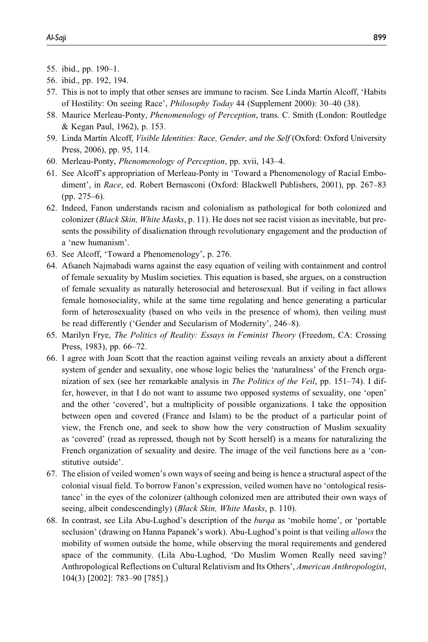- 55. ibid., pp. 190–1.
- 56. ibid., pp. 192, 194.
- 57. This is not to imply that other senses are immune to racism. See Linda Martin Alcoff, 'Habits of Hostility: On seeing Race', Philosophy Today 44 (Supplement 2000): 30–40 (38).
- 58. Maurice Merleau-Ponty, Phenomenology of Perception, trans. C. Smith (London: Routledge & Kegan Paul, 1962), p. 153.
- 59. Linda Martín Alcoff, Visible Identities: Race, Gender, and the Self (Oxford: Oxford University Press, 2006), pp. 95, 114.
- 60. Merleau-Ponty, Phenomenology of Perception, pp. xvii, 143–4.
- 61. See Alcoff's appropriation of Merleau-Ponty in 'Toward a Phenomenology of Racial Embodiment', in Race, ed. Robert Bernasconi (Oxford: Blackwell Publishers, 2001), pp. 267–83 (pp. 275–6).
- 62. Indeed, Fanon understands racism and colonialism as pathological for both colonized and colonizer (Black Skin, White Masks, p. 11). He does not see racist vision as inevitable, but presents the possibility of disalienation through revolutionary engagement and the production of a 'new humanism'.
- 63. See Alcoff, 'Toward a Phenomenology', p. 276.
- 64. Afsaneh Najmabadi warns against the easy equation of veiling with containment and control of female sexuality by Muslim societies. This equation is based, she argues, on a construction of female sexuality as naturally heterosocial and heterosexual. But if veiling in fact allows female homosociality, while at the same time regulating and hence generating a particular form of heterosexuality (based on who veils in the presence of whom), then veiling must be read differently ('Gender and Secularism of Modernity', 246–8).
- 65. Marilyn Frye, The Politics of Reality: Essays in Feminist Theory (Freedom, CA: Crossing Press, 1983), pp. 66–72.
- 66. I agree with Joan Scott that the reaction against veiling reveals an anxiety about a different system of gender and sexuality, one whose logic belies the 'naturalness' of the French organization of sex (see her remarkable analysis in *The Politics of the Veil*, pp. 151–74). I differ, however, in that I do not want to assume two opposed systems of sexuality, one 'open' and the other 'covered', but a multiplicity of possible organizations. I take the opposition between open and covered (France and Islam) to be the product of a particular point of view, the French one, and seek to show how the very construction of Muslim sexuality as 'covered' (read as repressed, though not by Scott herself) is a means for naturalizing the French organization of sexuality and desire. The image of the veil functions here as a 'constitutive outside'.
- 67. The elision of veiled women's own ways of seeing and being is hence a structural aspect of the colonial visual field. To borrow Fanon's expression, veiled women have no 'ontological resistance' in the eyes of the colonizer (although colonized men are attributed their own ways of seeing, albeit condescendingly) (Black Skin, White Masks, p. 110).
- 68. In contrast, see Lila Abu-Lughod's description of the burqa as 'mobile home', or 'portable seclusion' (drawing on Hanna Papanek's work). Abu-Lughod's point is that veiling *allows* the mobility of women outside the home, while observing the moral requirements and gendered space of the community. (Lila Abu-Lughod, 'Do Muslim Women Really need saving? Anthropological Reflections on Cultural Relativism and Its Others', American Anthropologist, 104(3) [2002]: 783–90 [785].)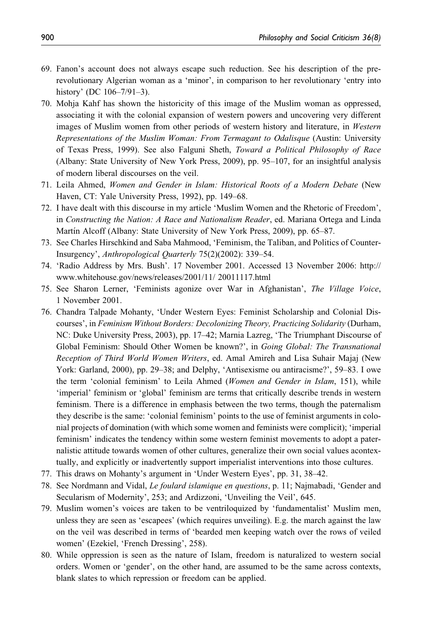- 69. Fanon's account does not always escape such reduction. See his description of the prerevolutionary Algerian woman as a 'minor', in comparison to her revolutionary 'entry into history' (DC 106-7/91-3).
- 70. Mohja Kahf has shown the historicity of this image of the Muslim woman as oppressed, associating it with the colonial expansion of western powers and uncovering very different images of Muslim women from other periods of western history and literature, in Western Representations of the Muslim Woman: From Termagant to Odalisque (Austin: University of Texas Press, 1999). See also Falguni Sheth, Toward a Political Philosophy of Race (Albany: State University of New York Press, 2009), pp. 95–107, for an insightful analysis of modern liberal discourses on the veil.
- 71. Leila Ahmed, Women and Gender in Islam: Historical Roots of a Modern Debate (New Haven, CT: Yale University Press, 1992), pp. 149–68.
- 72. I have dealt with this discourse in my article 'Muslim Women and the Rhetoric of Freedom', in Constructing the Nation: A Race and Nationalism Reader, ed. Mariana Ortega and Linda Martin Alcoff (Albany: State University of New York Press, 2009), pp. 65–87.
- 73. See Charles Hirschkind and Saba Mahmood, 'Feminism, the Taliban, and Politics of Counter-Insurgency', Anthropological Quarterly 75(2)(2002): 339–54.
- 74. 'Radio Address by Mrs. Bush'. 17 November 2001. Accessed 13 November 2006: http:// www.whitehouse.gov/news/releases/2001/11/ 20011117.html
- 75. See Sharon Lerner, 'Feminists agonize over War in Afghanistan', The Village Voice, 1 November 2001.
- 76. Chandra Talpade Mohanty, 'Under Western Eyes: Feminist Scholarship and Colonial Discourses', in Feminism Without Borders: Decolonizing Theory, Practicing Solidarity (Durham, NC: Duke University Press, 2003), pp. 17–42; Marnia Lazreg, 'The Triumphant Discourse of Global Feminism: Should Other Women be known?', in Going Global: The Transnational Reception of Third World Women Writers, ed. Amal Amireh and Lisa Suhair Majaj (New York: Garland, 2000), pp. 29–38; and Delphy, 'Antisexisme ou antiracisme?', 59–83. I owe the term 'colonial feminism' to Leila Ahmed (Women and Gender in Islam, 151), while 'imperial' feminism or 'global' feminism are terms that critically describe trends in western feminism. There is a difference in emphasis between the two terms, though the paternalism they describe is the same: 'colonial feminism' points to the use of feminist arguments in colonial projects of domination (with which some women and feminists were complicit); 'imperial feminism' indicates the tendency within some western feminist movements to adopt a paternalistic attitude towards women of other cultures, generalize their own social values acontextually, and explicitly or inadvertently support imperialist interventions into those cultures.
- 77. This draws on Mohanty's argument in 'Under Western Eyes', pp. 31, 38–42.
- 78. See Nordmann and Vidal, Le foulard islamique en questions, p. 11; Najmabadi, 'Gender and Secularism of Modernity', 253; and Ardizzoni, 'Unveiling the Veil', 645.
- 79. Muslim women's voices are taken to be ventriloquized by 'fundamentalist' Muslim men, unless they are seen as 'escapees' (which requires unveiling). E.g. the march against the law on the veil was described in terms of 'bearded men keeping watch over the rows of veiled women' (Ezekiel, 'French Dressing', 258).
- 80. While oppression is seen as the nature of Islam, freedom is naturalized to western social orders. Women or 'gender', on the other hand, are assumed to be the same across contexts, blank slates to which repression or freedom can be applied.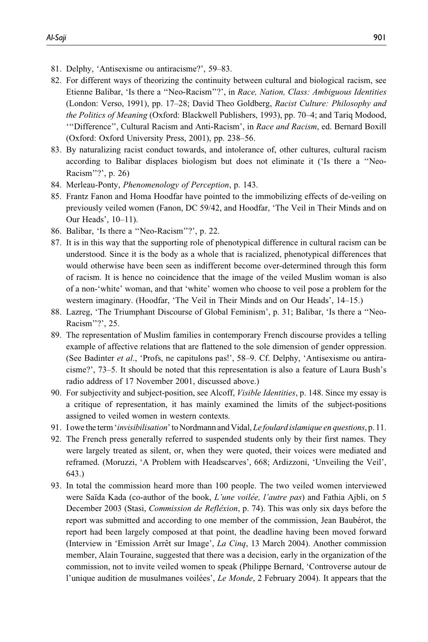- 81. Delphy, 'Antisexisme ou antiracisme?', 59–83.
- 82. For different ways of theorizing the continuity between cultural and biological racism, see Etienne Balibar, 'Is there a ''Neo-Racism''?', in Race, Nation, Class: Ambiguous Identities (London: Verso, 1991), pp. 17–28; David Theo Goldberg, Racist Culture: Philosophy and the Politics of Meaning (Oxford: Blackwell Publishers, 1993), pp. 70–4; and Tariq Modood, '''Difference'', Cultural Racism and Anti-Racism', in Race and Racism, ed. Bernard Boxill (Oxford: Oxford University Press, 2001), pp. 238–56.
- 83. By naturalizing racist conduct towards, and intolerance of, other cultures, cultural racism according to Balibar displaces biologism but does not eliminate it ('Is there a ''Neo-Racism''?', p. 26)
- 84. Merleau-Ponty, *Phenomenology of Perception*, p. 143.
- 85. Frantz Fanon and Homa Hoodfar have pointed to the immobilizing effects of de-veiling on previously veiled women (Fanon, DC 59/42, and Hoodfar, 'The Veil in Their Minds and on Our Heads', 10–11).
- 86. Balibar, 'Is there a ''Neo-Racism''?', p. 22.
- 87. It is in this way that the supporting role of phenotypical difference in cultural racism can be understood. Since it is the body as a whole that is racialized, phenotypical differences that would otherwise have been seen as indifferent become over-determined through this form of racism. It is hence no coincidence that the image of the veiled Muslim woman is also of a non-'white' woman, and that 'white' women who choose to veil pose a problem for the western imaginary. (Hoodfar, 'The Veil in Their Minds and on Our Heads', 14–15.)
- 88. Lazreg, 'The Triumphant Discourse of Global Feminism', p. 31; Balibar, 'Is there a ''Neo-Racism''?', 25.
- 89. The representation of Muslim families in contemporary French discourse provides a telling example of affective relations that are flattened to the sole dimension of gender oppression. (See Badinter et al., 'Profs, ne capitulons pas!', 58–9. Cf. Delphy, 'Antisexisme ou antiracisme?', 73–5. It should be noted that this representation is also a feature of Laura Bush's radio address of 17 November 2001, discussed above.)
- 90. For subjectivity and subject-position, see Alcoff, Visible Identities, p. 148. Since my essay is a critique of representation, it has mainly examined the limits of the subject-positions assigned to veiled women in western contexts.
- 91. I owe the term 'invisibilisation' to Nordmann and Vidal, Le foulard islamique en questions, p. 11.
- 92. The French press generally referred to suspended students only by their first names. They were largely treated as silent, or, when they were quoted, their voices were mediated and reframed. (Moruzzi, 'A Problem with Headscarves', 668; Ardizzoni, 'Unveiling the Veil', 643.)
- 93. In total the commission heard more than 100 people. The two veiled women interviewed were Saïda Kada (co-author of the book, L'une voilée, l'autre pas) and Fathia Ajbli, on 5 December 2003 (Stasi, *Commission de Refléxion*, p. 74). This was only six days before the report was submitted and according to one member of the commission, Jean Baubérot, the report had been largely composed at that point, the deadline having been moved forward (Interview in 'Emission Arrêt sur Image', La Cinq, 13 March 2004). Another commission member, Alain Touraine, suggested that there was a decision, early in the organization of the commission, not to invite veiled women to speak (Philippe Bernard, 'Controverse autour de l'unique audition de musulmanes voilées', Le Monde, 2 February 2004). It appears that the